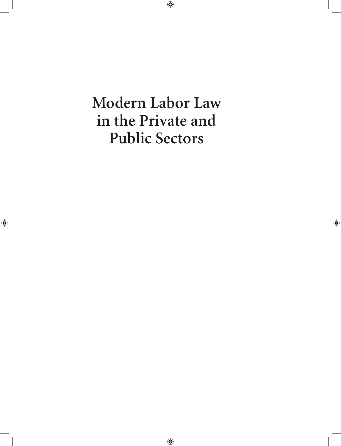**Modern Labor Law in the Private and Public Sectors**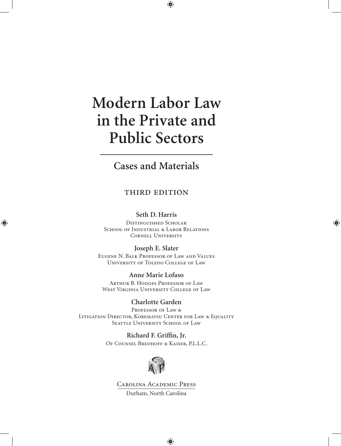# **Modern Labor Law in the Private and Public Sectors**

# **Cases and Materials**

## third edition

### **Seth D. Harris**

Distinguished Scholar SCHOOL OF INDUSTRIAL & LABOR RELATIONS Cornell University

#### **Joseph E. Slater**

Eugene N. Balk Professor of Law and Values University of Toledo College of Law

## **Anne Marie Lofaso**

Arthur B. Hodges Professor of Law West Virginia University College of Law

## **Charlotte Garden**

Professor of Law & Litigation Director, Korematsu Center for Law & Equality SEATTLE UNIVERSITY SCHOOL OF LAW

> **Richard F. Griffin, Jr.** Of Counsel Bredhoff & Kaiser, P.L.L.C.



Carolina Academic Press Durham, North Carolina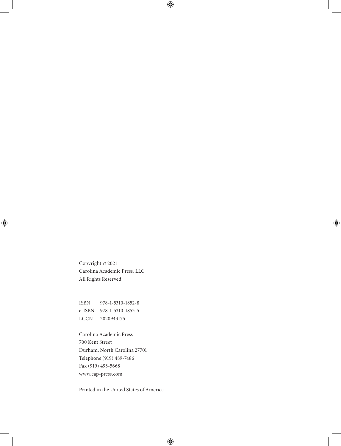Copyright © 2021 Carolina Academic Press, LLC All Rights Reserved

ISBN 978-1-5310-1852-8 e-ISBN 978-1-5310-1853-5 LCCN 2020943175

Carolina Academic Press 700 Kent Street Durham, North Carolina 27701 Telephone (919) 489-7486 Fax (919) 493-5668 www.cap-press.com

Printed in the United States of America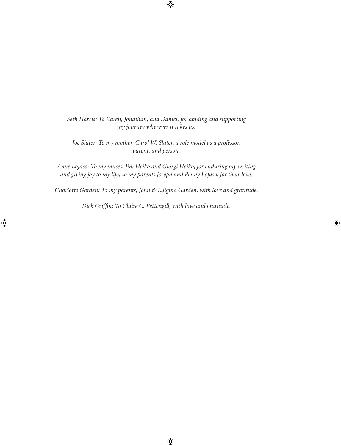*Seth Harris: To Karen, Jonathan, and Daniel, for abiding and supporting my journey wherever it takes us.*

*Joe Slater: To my mother, Carol W. Slater, a role model as a professor, parent, and person.*

*Anne Lofaso: To my muses, Jim Heiko and Giorgi Heiko, for enduring my writing and giving joy to my life; to my parents Joseph and Penny Lofaso, for their love.*

*Charlotte Garden: To my parents, John & Luigina Garden, with love and gratitude.*

*Dick Griffin: To Claire C. Pettengill, with love and gratitude.*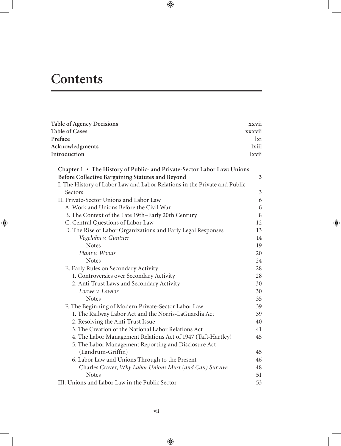# **Contents**

| <b>Table of Agency Decisions</b>                                          | xxvii          |
|---------------------------------------------------------------------------|----------------|
| <b>Table of Cases</b>                                                     | xxxvii         |
| Preface                                                                   | lxi            |
| Acknowledgments                                                           | lxiii          |
| Introduction                                                              | lxvii          |
| Chapter 1 • The History of Public- and Private-Sector Labor Law: Unions   |                |
| Before Collective Bargaining Statutes and Beyond                          | $\mathfrak{Z}$ |
| I. The History of Labor Law and Labor Relations in the Private and Public |                |
| Sectors                                                                   | $\mathfrak{Z}$ |
| II. Private-Sector Unions and Labor Law                                   | 6              |
| A. Work and Unions Before the Civil War                                   | 6              |
| B. The Context of the Late 19th-Early 20th Century                        | $\,$ 8 $\,$    |
| C. Central Questions of Labor Law                                         | 12             |
| D. The Rise of Labor Organizations and Early Legal Responses              | 13             |
| Vegelahn v. Guntner                                                       | 14             |
| <b>Notes</b>                                                              | 19             |
| Plant v. Woods                                                            | 20             |
| <b>Notes</b>                                                              | 24             |
| E. Early Rules on Secondary Activity                                      | 28             |
| 1. Controversies over Secondary Activity                                  | 28             |
| 2. Anti-Trust Laws and Secondary Activity                                 | 30             |
| Loewe v. Lawlor                                                           | 30             |
| <b>Notes</b>                                                              | 35             |
| F. The Beginning of Modern Private-Sector Labor Law                       | 39             |
| 1. The Railway Labor Act and the Norris-LaGuardia Act                     | 39             |
| 2. Resolving the Anti-Trust Issue                                         | 40             |
| 3. The Creation of the National Labor Relations Act                       | 41             |
| 4. The Labor Management Relations Act of 1947 (Taft-Hartley)              | 45             |
| 5. The Labor Management Reporting and Disclosure Act                      |                |
| (Landrum-Griffin)                                                         | 45             |
| 6. Labor Law and Unions Through to the Present                            | 46             |
| Charles Craver, Why Labor Unions Must (and Can) Survive                   | 48             |
| <b>Notes</b>                                                              | 51             |
| III. Unions and Labor Law in the Public Sector                            | 53             |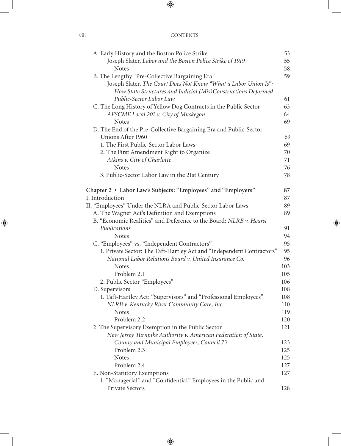| A. Early History and the Boston Police Strike                         | 53  |
|-----------------------------------------------------------------------|-----|
| Joseph Slater, Labor and the Boston Police Strike of 1919             | 55  |
| <b>Notes</b>                                                          | 58  |
| B. The Lengthy "Pre-Collective Bargaining Era"                        | 59  |
| Joseph Slater, The Court Does Not Know "What a Labor Union Is":       |     |
| How State Structures and Judicial (Mis)Constructions Deformed         |     |
| Public-Sector Labor Law                                               | 61  |
| C. The Long History of Yellow Dog Contracts in the Public Sector      | 63  |
| AFSCME Local 201 v. City of Muskegon                                  | 64  |
| <b>Notes</b>                                                          | 69  |
| D. The End of the Pre-Collective Bargaining Era and Public-Sector     |     |
| Unions After 1960                                                     | 69  |
| 1. The First Public-Sector Labor Laws                                 | 69  |
| 2. The First Amendment Right to Organize                              | 70  |
| Atkins v. City of Charlotte                                           | 71  |
| <b>Notes</b>                                                          | 76  |
| 3. Public-Sector Labor Law in the 21st Century                        | 78  |
| Chapter 2 · Labor Law's Subjects: "Employees" and "Employers"         | 87  |
| I. Introduction                                                       | 87  |
| II. "Employees" Under the NLRA and Public-Sector Labor Laws           | 89  |
| A. The Wagner Act's Definition and Exemptions                         | 89  |
| B. "Economic Realities" and Deference to the Board: NLRB v. Hearst    |     |
| Publications                                                          | 91  |
| <b>Notes</b>                                                          | 94  |
| C. "Employees" vs. "Independent Contractors"                          | 95  |
| 1. Private Sector: The Taft-Hartley Act and "Independent Contractors" | 95  |
| National Labor Relations Board v. United Insurance Co.                | 96  |
| <b>Notes</b>                                                          | 103 |
| Problem 2.1                                                           | 105 |
| 2. Public Sector "Employees"                                          | 106 |
| D. Supervisors                                                        | 108 |
| 1. Taft-Hartley Act: "Supervisors" and "Professional Employees"       | 108 |
| NLRB v. Kentucky River Community Care, Inc.                           | 110 |
| <b>Notes</b>                                                          | 119 |
| Problem 2.2                                                           | 120 |
| 2. The Supervisory Exemption in the Public Sector                     | 121 |
| New Jersey Turnpike Authority v. American Federation of State,        |     |
| County and Municipal Employees, Council 73                            | 123 |
| Problem 2.3                                                           | 125 |
| <b>Notes</b>                                                          | 125 |
| Problem 2.4                                                           | 127 |
| E. Non-Statutory Exemptions                                           | 127 |
| 1. "Managerial" and "Confidential" Employees in the Public and        |     |
| Private Sectors                                                       | 128 |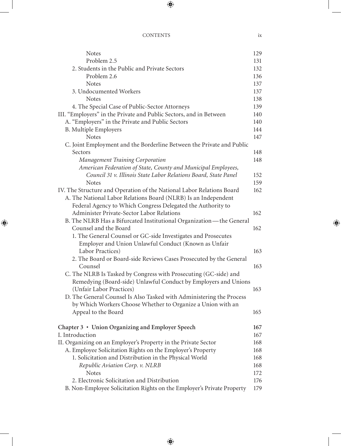| <b>Notes</b>                                                           | 129 |
|------------------------------------------------------------------------|-----|
| Problem 2.5                                                            | 131 |
| 2. Students in the Public and Private Sectors                          | 132 |
| Problem 2.6                                                            | 136 |
| <b>Notes</b>                                                           | 137 |
| 3. Undocumented Workers                                                | 137 |
| <b>Notes</b>                                                           | 138 |
| 4. The Special Case of Public-Sector Attorneys                         | 139 |
| III. "Employers" in the Private and Public Sectors, and in Between     | 140 |
| A. "Employers" in the Private and Public Sectors                       | 140 |
| <b>B.</b> Multiple Employers                                           | 144 |
| <b>Notes</b>                                                           | 147 |
| C. Joint Employment and the Borderline Between the Private and Public  |     |
| Sectors                                                                | 148 |
| <b>Management Training Corporation</b>                                 | 148 |
| American Federation of State, County and Municipal Employees,          |     |
| Council 31 v. Illinois State Labor Relations Board, State Panel        | 152 |
| <b>Notes</b>                                                           | 159 |
| IV. The Structure and Operation of the National Labor Relations Board  | 162 |
| A. The National Labor Relations Board (NLRB) Is an Independent         |     |
| Federal Agency to Which Congress Delegated the Authority to            |     |
| Administer Private-Sector Labor Relations                              | 162 |
| B. The NLRB Has a Bifurcated Institutional Organization-the General    |     |
| Counsel and the Board                                                  | 162 |
| 1. The General Counsel or GC-side Investigates and Prosecutes          |     |
| Employer and Union Unlawful Conduct (Known as Unfair                   |     |
| Labor Practices)                                                       | 163 |
| 2. The Board or Board-side Reviews Cases Prosecuted by the General     |     |
| Counsel                                                                | 163 |
| C. The NLRB Is Tasked by Congress with Prosecuting (GC-side) and       |     |
| Remedying (Board-side) Unlawful Conduct by Employers and Unions        |     |
| (Unfair Labor Practices)                                               | 163 |
| D. The General Counsel Is Also Tasked with Administering the Process   |     |
| by Which Workers Choose Whether to Organize a Union with an            |     |
| Appeal to the Board                                                    | 165 |
|                                                                        |     |
| Chapter 3 • Union Organizing and Employer Speech                       | 167 |
| I. Introduction                                                        | 167 |
| II. Organizing on an Employer's Property in the Private Sector         | 168 |
| A. Employee Solicitation Rights on the Employer's Property             | 168 |
| 1. Solicitation and Distribution in the Physical World                 | 168 |
| Republic Aviation Corp. v. NLRB                                        | 168 |
| <b>Notes</b>                                                           | 172 |
| 2. Electronic Solicitation and Distribution                            | 176 |
| B. Non-Employee Solicitation Rights on the Employer's Private Property | 179 |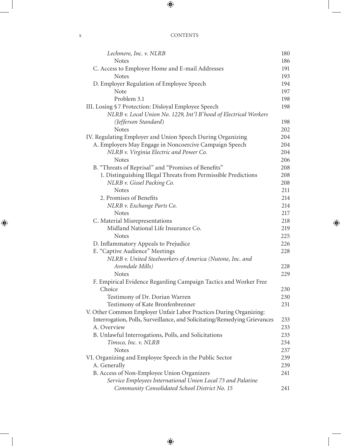| Lechmere, Inc. v. NLRB                                                    | 180 |
|---------------------------------------------------------------------------|-----|
| <b>Notes</b>                                                              | 186 |
| C. Access to Employee Home and E-mail Addresses                           | 191 |
| <b>Notes</b>                                                              | 193 |
| D. Employer Regulation of Employee Speech                                 | 194 |
| Note                                                                      | 197 |
| Problem 3.1                                                               | 198 |
| III. Losing §7 Protection: Disloyal Employee Speech                       | 198 |
| NLRB v. Local Union No. 1229, Int'l B'hood of Electrical Workers          |     |
| (Jefferson Standard)                                                      | 198 |
| <b>Notes</b>                                                              | 202 |
| IV. Regulating Employer and Union Speech During Organizing                | 204 |
| A. Employers May Engage in Noncoercive Campaign Speech                    | 204 |
| NLRB v. Virginia Electric and Power Co.                                   | 204 |
| <b>Notes</b>                                                              | 206 |
| B. "Threats of Reprisal" and "Promises of Benefits"                       | 208 |
| 1. Distinguishing Illegal Threats from Permissible Predictions            | 208 |
| NLRB v. Gissel Packing Co.                                                | 208 |
| <b>Notes</b>                                                              | 211 |
| 2. Promises of Benefits                                                   | 214 |
| NLRB v. Exchange Parts Co.                                                | 214 |
| <b>Notes</b>                                                              | 217 |
| C. Material Misrepresentations                                            | 218 |
| Midland National Life Insurance Co.                                       | 219 |
| <b>Notes</b>                                                              | 225 |
| D. Inflammatory Appeals to Prejudice                                      | 226 |
| E. "Captive Audience" Meetings                                            | 228 |
| NLRB v. United Steelworkers of America (Nutone, Inc. and                  |     |
| Avondale Mills)                                                           | 228 |
| <b>Notes</b>                                                              | 229 |
| F. Empirical Evidence Regarding Campaign Tactics and Worker Free          |     |
| Choice                                                                    | 230 |
| Testimony of Dr. Dorian Warren                                            | 230 |
| Testimony of Kate Bronfenbrenner                                          | 231 |
| V. Other Common Employer Unfair Labor Practices During Organizing:        |     |
| Interrogation, Polls, Surveillance, and Solicitating/Remedying Grievances | 233 |
| A. Overview                                                               | 233 |
| B. Unlawful Interrogations, Polls, and Solicitations                      | 233 |
| Timsco, Inc. v. NLRB                                                      | 234 |
| <b>Notes</b>                                                              | 237 |
| VI. Organizing and Employee Speech in the Public Sector                   | 239 |
| A. Generally                                                              | 239 |
| B. Access of Non-Employee Union Organizers                                | 241 |
| Service Employees International Union Local 73 and Palatine               |     |
| Community Consolidated School District No. 15                             | 241 |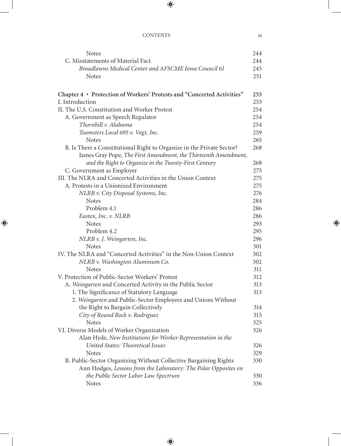| <b>Notes</b>                                                           | 244 |
|------------------------------------------------------------------------|-----|
| C. Misstatements of Material Fact                                      | 244 |
| Broadlawns Medical Center and AFSCME Iowa Council 61                   | 245 |
| <b>Notes</b>                                                           | 251 |
|                                                                        |     |
| Chapter 4 • Protection of Workers' Protests and "Concerted Activities" | 253 |
| I. Introduction                                                        | 253 |
| II. The U.S. Constitution and Worker Protest                           | 254 |
| A. Government as Speech Regulator                                      | 254 |
| Thornhill v. Alabama                                                   | 254 |
| Teamsters Local 695 v. Vogt, Inc.                                      | 259 |
| <b>Notes</b>                                                           | 265 |
| B. Is There a Constitutional Right to Organize in the Private Sector?  | 268 |
| James Gray Pope, The First Amendment, the Thirteenth Amendment,        |     |
| and the Right to Organize in the Twenty-First Century                  | 268 |
| C. Government as Employer                                              | 275 |
| III. The NLRA and Concerted Activities in the Union Context            | 275 |
| A. Protests in a Unionized Environment                                 | 275 |
| NLRB v. City Disposal Systems, Inc.                                    | 276 |
| <b>Notes</b>                                                           | 284 |
| Problem 4.1                                                            | 286 |
| Eastex, Inc. v. NLRB                                                   | 286 |
| <b>Notes</b>                                                           | 293 |
| Problem 4.2                                                            | 295 |
| NLRB v. J. Weingarten, Inc.                                            | 296 |
| <b>Notes</b>                                                           | 301 |
| IV. The NLRA and "Concerted Activities" in the Non-Union Context       | 302 |
| NLRB v. Washington Aluminum Co.                                        | 302 |
| <b>Notes</b>                                                           | 311 |
| V. Protection of Public-Sector Workers' Protest                        | 312 |
| A. Weingarten and Concerted Activity in the Public Sector              | 313 |
| 1. The Significance of Statutory Language                              | 313 |
| 2. Weingarten and Public-Sector Employees and Unions Without           |     |
| the Right to Bargain Collectively                                      | 314 |
| City of Round Rock v. Rodriguez                                        | 315 |
| <b>Notes</b>                                                           | 325 |
| VI. Diverse Models of Worker Organization                              | 326 |
| Alan Hyde, New Institutions for Worker Representation in the           |     |
| United States: Theoretical Issues                                      | 326 |
| <b>Notes</b>                                                           | 329 |
| B. Public-Sector Organizing Without Collective Bargaining Rights       | 330 |
| Ann Hodges, Lessons from the Laboratory: The Polar Opposites on        |     |
| the Public Sector Labor Law Spectrum                                   | 330 |
| <b>Notes</b>                                                           | 336 |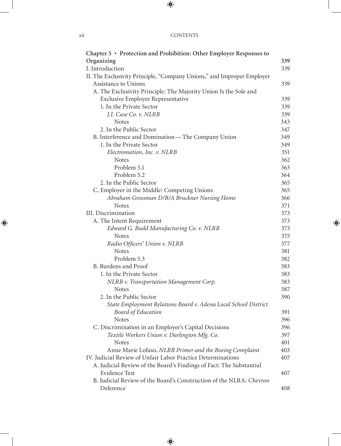| Chapter 5 • Protection and Prohibition: Other Employer Responses to    |     |
|------------------------------------------------------------------------|-----|
| Organizing                                                             | 339 |
| I. Introduction                                                        | 339 |
| II. The Exclusivity Principle, "Company Unions," and Improper Employer |     |
| Assistance to Unions                                                   | 339 |
| A. The Exclusivity Principle: The Majority Union Is the Sole and       |     |
| <b>Exclusive Employee Representative</b>                               | 339 |
| 1. In the Private Sector                                               | 339 |
| J.I. Case Co. v. NLRB                                                  | 339 |
| <b>Notes</b>                                                           | 343 |
| 2. In the Public Sector                                                | 347 |
| B. Interference and Domination-The Company Union                       | 349 |
| 1. In the Private Sector                                               | 349 |
| Electromation, Inc. v. NLRB                                            | 351 |
| <b>Notes</b>                                                           | 362 |
| Problem 5.1                                                            | 363 |
| Problem 5.2                                                            | 364 |
| 2. In the Public Sector                                                | 365 |
| C. Employer in the Middle: Competing Unions                            | 365 |
| Abraham Grossman D/B/A Bruckner Nursing Home                           | 366 |
| <b>Notes</b>                                                           | 371 |
| III. Discrimination                                                    | 373 |
| A. The Intent Requirement                                              | 373 |
| Edward G. Budd Manufacturing Co. v. NLRB                               | 373 |
| <b>Notes</b>                                                           | 375 |
| Radio Officers' Union v. NLRB                                          | 377 |
| <b>Notes</b>                                                           | 381 |
| Problem 5.3                                                            | 382 |
| B. Burdens and Proof                                                   | 383 |
| 1. In the Private Sector                                               | 383 |
| NLRB v. Transportation Management Corp.                                | 383 |
| <b>Notes</b>                                                           | 387 |
| 2. In the Public Sector                                                | 390 |
| State Employment Relations Board v. Adena Local School District        |     |
| Board of Education                                                     | 391 |
| <b>Notes</b>                                                           | 396 |
| C. Discrimination in an Employer's Capital Decisions                   | 396 |
| Textile Workers Union v. Darlington Mfg. Co.                           | 397 |
| <b>Notes</b>                                                           | 401 |
| Anne Marie Lofaso, NLRB Primer and the Boeing Complaint                | 403 |
| IV. Judicial Review of Unfair Labor Practice Determinations            | 407 |
| A. Judicial Review of the Board's Findings of Fact: The Substantial    |     |
| <b>Evidence Test</b>                                                   | 407 |
| B. Judicial Review of the Board's Construction of the NLRA: Chevron    |     |
| Deference                                                              | 408 |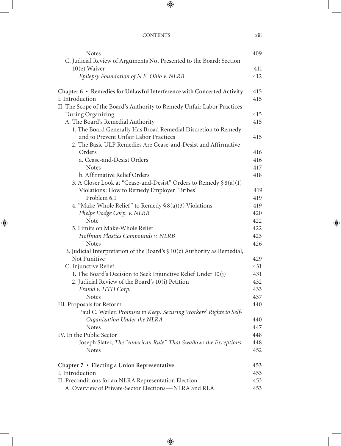| <b>Notes</b>                                                                    | 409        |
|---------------------------------------------------------------------------------|------------|
| C. Judicial Review of Arguments Not Presented to the Board: Section             |            |
| $10(e)$ Waiver                                                                  | 411        |
| Epilepsy Foundation of N.E. Ohio v. NLRB                                        | 412        |
| Chapter 6 · Remedies for Unlawful Interference with Concerted Activity          | 415        |
| I. Introduction                                                                 | 415        |
| II. The Scope of the Board's Authority to Remedy Unfair Labor Practices         |            |
| During Organizing                                                               | 415        |
| A. The Board's Remedial Authority                                               | 415        |
| 1. The Board Generally Has Broad Remedial Discretion to Remedy                  |            |
| and to Prevent Unfair Labor Practices                                           | 415        |
| 2. The Basic ULP Remedies Are Cease-and-Desist and Affirmative                  |            |
| Orders                                                                          | 416        |
| a. Cease-and-Desist Orders                                                      | 416        |
| <b>Notes</b>                                                                    | 417        |
| b. Affirmative Relief Orders                                                    | 418        |
| 3. A Closer Look at "Cease-and-Desist" Orders to Remedy §8(a)(1)                |            |
| Violations: How to Remedy Employer "Bribes"                                     | 419        |
| Problem 6.1                                                                     | 419        |
| 4. "Make-Whole Relief" to Remedy $\S 8(a)(3)$ Violations                        | 419        |
| Phelps Dodge Corp. v. NLRB                                                      | 420        |
| Note                                                                            | 422        |
| 5. Limits on Make-Whole Relief                                                  | 422        |
| Hoffman Plastics Compounds v. NLRB                                              | 423        |
| <b>Notes</b>                                                                    | 426        |
| B. Judicial Interpretation of the Board's $$10(c)$ Authority as Remedial,       |            |
| Not Punitive                                                                    | 429        |
| C. Injunctive Relief                                                            | 431        |
| 1. The Board's Decision to Seek Injunctive Relief Under 10(j)                   | 431        |
| 2. Judicial Review of the Board's 10(j) Petition                                | 432        |
| Frankl v. HTH Corp.                                                             | 433        |
| <b>Notes</b>                                                                    | 437        |
| III. Proposals for Reform                                                       | 440        |
| Paul C. Weiler, Promises to Keep: Securing Workers' Rights to Self-             |            |
| Organization Under the NLRA                                                     | 440        |
| <b>Notes</b><br>IV. In the Public Sector                                        | 447        |
|                                                                                 | 448        |
| Joseph Slater, The "American Rule" That Swallows the Exceptions<br><b>Notes</b> | 448<br>452 |
| Chapter 7 • Electing a Union Representative                                     | 453        |
| I. Introduction                                                                 | 453        |
| II. Preconditions for an NLRA Representation Election                           | 453        |
| A. Overview of Private-Sector Elections-NLRA and RLA                            | 453        |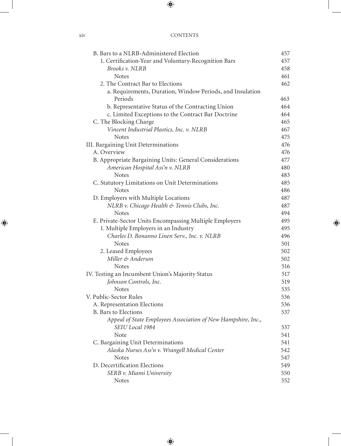| B. Bars to a NLRB-Administered Election                       | 457 |
|---------------------------------------------------------------|-----|
| 1. Certification-Year and Voluntary-Recognition Bars          | 457 |
| Brooks v. NLRB                                                | 458 |
| <b>Notes</b>                                                  | 461 |
| 2. The Contract Bar to Elections                              | 462 |
| a. Requirements, Duration, Window Periods, and Insulation     |     |
| Periods                                                       | 463 |
| b. Representative Status of the Contracting Union             | 464 |
| c. Limited Exceptions to the Contract Bar Doctrine            | 464 |
| C. The Blocking Charge                                        | 465 |
| Vincent Industrial Plastics, Inc. v. NLRB                     | 467 |
| <b>Notes</b>                                                  | 475 |
| III. Bargaining Unit Determinations                           | 476 |
| A. Overview                                                   | 476 |
| B. Appropriate Bargaining Units: General Considerations       | 477 |
| American Hospital Ass'n v. NLRB                               | 480 |
| <b>Notes</b>                                                  | 483 |
| C. Statutory Limitations on Unit Determinations               | 485 |
| <b>Notes</b>                                                  | 486 |
| D. Employers with Multiple Locations                          | 487 |
| NLRB v. Chicago Health & Tennis Clubs, Inc.                   | 487 |
| <b>Notes</b>                                                  | 494 |
| E. Private-Sector Units Encompassing Multiple Employers       | 495 |
| 1. Multiple Employers in an Industry                          | 495 |
| Charles D. Bonanno Linen Serv., Inc. v. NLRB                  | 496 |
| <b>Notes</b>                                                  | 501 |
| 2. Leased Employees                                           | 502 |
| Miller & Anderson                                             | 502 |
| <b>Notes</b>                                                  | 516 |
| IV. Testing an Incumbent Union's Majority Status              | 517 |
| Johnson Controls, Inc.                                        | 519 |
| <b>Notes</b>                                                  | 535 |
| V. Public-Sector Rules                                        | 536 |
| A. Representation Elections                                   | 536 |
| B. Bars to Elections                                          | 537 |
| Appeal of State Employees Association of New Hampshire, Inc., |     |
| SEIU Local 1984                                               | 537 |
| Note                                                          | 541 |
| C. Bargaining Unit Determinations                             | 541 |
| Alaska Nurses Ass'n v. Wrangell Medical Center                | 542 |
| <b>Notes</b>                                                  | 547 |
| D. Decertification Elections                                  | 549 |
| SERB v. Miami University                                      | 550 |
| <b>Notes</b>                                                  | 552 |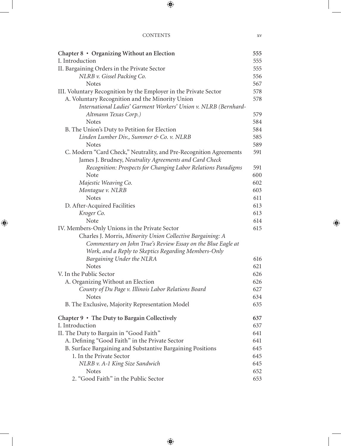| Chapter 8 • Organizing Without an Election                         | 555 |
|--------------------------------------------------------------------|-----|
| I. Introduction                                                    | 555 |
| II. Bargaining Orders in the Private Sector                        | 555 |
| NLRB v. Gissel Packing Co.                                         | 556 |
| <b>Notes</b>                                                       | 567 |
| III. Voluntary Recognition by the Employer in the Private Sector   | 578 |
| A. Voluntary Recognition and the Minority Union                    | 578 |
| International Ladies' Garment Workers' Union v. NLRB (Bernhard-    |     |
| Altmann Texas Corp.)                                               | 579 |
| <b>Notes</b>                                                       | 584 |
| B. The Union's Duty to Petition for Election                       | 584 |
| Linden Lumber Div., Summer & Co. v. NLRB                           | 585 |
| <b>Notes</b>                                                       | 589 |
| C. Modern "Card Check," Neutrality, and Pre-Recognition Agreements | 591 |
| James J. Brudney, Neutrality Agreements and Card Check             |     |
| Recognition: Prospects for Changing Labor Relations Paradigms      | 591 |
| Note                                                               | 600 |
| Majestic Weaving Co.                                               | 602 |
| Montague v. NLRB                                                   | 603 |
| <b>Notes</b>                                                       | 611 |
| D. After-Acquired Facilities                                       | 613 |
| Kroger Co.                                                         | 613 |
| Note                                                               | 614 |
| IV. Members-Only Unions in the Private Sector                      | 615 |
| Charles J. Morris, Minority Union Collective Bargaining: A         |     |
| Commentary on John True's Review Essay on the Blue Eagle at        |     |
| Work, and a Reply to Skeptics Regarding Members-Only               |     |
| Bargaining Under the NLRA                                          | 616 |
| <b>Notes</b>                                                       | 621 |
| V. In the Public Sector                                            | 626 |
| A. Organizing Without an Election                                  | 626 |
| County of Du Page v. Illinois Labor Relations Board                | 627 |
| <b>Notes</b>                                                       | 634 |
| B. The Exclusive, Majority Representation Model                    | 635 |
| Chapter 9 • The Duty to Bargain Collectively                       | 637 |
| I. Introduction                                                    | 637 |
| II. The Duty to Bargain in "Good Faith"                            | 641 |
| A. Defining "Good Faith" in the Private Sector                     | 641 |
| B. Surface Bargaining and Substantive Bargaining Positions         | 645 |
| 1. In the Private Sector                                           | 645 |
| NLRB v. A-1 King Size Sandwich                                     | 645 |
| <b>Notes</b>                                                       | 652 |
| 2. "Good Faith" in the Public Sector                               | 653 |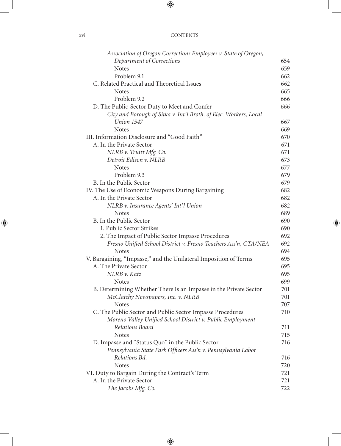| XV1 | <b>CONTENTS</b> |
|-----|-----------------|
|     |                 |

| Association of Oregon Corrections Employees v. State of Oregon,   |     |
|-------------------------------------------------------------------|-----|
| Department of Corrections                                         | 654 |
| <b>Notes</b>                                                      | 659 |
| Problem 9.1                                                       | 662 |
| C. Related Practical and Theoretical Issues                       | 662 |
| <b>Notes</b>                                                      | 665 |
| Problem 9.2                                                       | 666 |
| D. The Public-Sector Duty to Meet and Confer                      | 666 |
| City and Borough of Sitka v. Int'l Broth. of Elec. Workers, Local |     |
| Union 1547                                                        | 667 |
| <b>Notes</b>                                                      | 669 |
| III. Information Disclosure and "Good Faith"                      | 670 |
| A. In the Private Sector                                          | 671 |
| NLRB v. Truitt Mfg. Co.                                           | 671 |
| Detroit Edison v. NLRB                                            | 673 |
| <b>Notes</b>                                                      | 677 |
| Problem 9.3                                                       | 679 |
| B. In the Public Sector                                           | 679 |
| IV. The Use of Economic Weapons During Bargaining                 | 682 |
| A. In the Private Sector                                          | 682 |
| NLRB v. Insurance Agents' Int'l Union                             | 682 |
| <b>Notes</b>                                                      | 689 |
| B. In the Public Sector                                           | 690 |
| 1. Public Sector Strikes                                          | 690 |
| 2. The Impact of Public Sector Impasse Procedures                 | 692 |
| Fresno Unified School District v. Fresno Teachers Ass'n, CTA/NEA  | 692 |
| <b>Notes</b>                                                      | 694 |
| V. Bargaining, "Impasse," and the Unilateral Imposition of Terms  | 695 |
| A. The Private Sector                                             | 695 |
| NLRB v. Katz                                                      | 695 |
| <b>Notes</b>                                                      | 699 |
| B. Determining Whether There Is an Impasse in the Private Sector  | 701 |
| McClatchy Newspapers, Inc. v. NLRB                                | 701 |
| <b>Notes</b>                                                      | 707 |
| C. The Public Sector and Public Sector Impasse Procedures         | 710 |
| Moreno Valley Unified School District v. Public Employment        |     |
| Relations Board                                                   | 711 |
| <b>Notes</b>                                                      | 715 |
| D. Impasse and "Status Quo" in the Public Sector                  | 716 |
| Pennsylvania State Park Officers Ass'n v. Pennsylvania Labor      |     |
| Relations Bd.                                                     | 716 |
| <b>Notes</b>                                                      | 720 |
| VI. Duty to Bargain During the Contract's Term                    | 721 |
| A. In the Private Sector                                          | 721 |
| The Jacobs Mfg. Co.                                               | 722 |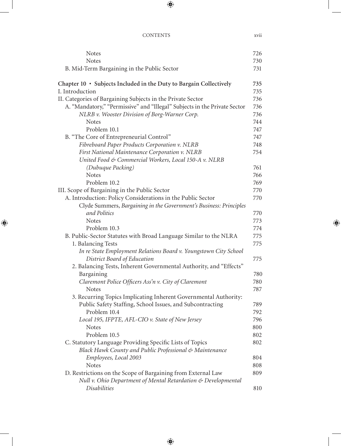| <b>Notes</b>                                                              | 726        |
|---------------------------------------------------------------------------|------------|
| <b>Notes</b>                                                              | 730        |
| B. Mid-Term Bargaining in the Public Sector                               | 731        |
| Chapter 10 · Subjects Included in the Duty to Bargain Collectively        | 735        |
| I. Introduction                                                           | 735        |
| II. Categories of Bargaining Subjects in the Private Sector               | 736        |
| A. "Mandatory," "Permissive" and "Illegal" Subjects in the Private Sector | 736        |
| NLRB v. Wooster Division of Borg-Warner Corp.                             | 736        |
| <b>Notes</b>                                                              | 744        |
| Problem 10.1                                                              | 747        |
| B. "The Core of Entrepreneurial Control"                                  | 747        |
| Fibreboard Paper Products Corporation v. NLRB                             | 748        |
| First National Maintenance Corporation v. NLRB                            | 754        |
| United Food & Commercial Workers, Local 150-A v. NLRB                     |            |
| (Dubuque Packing)                                                         | 761        |
| <b>Notes</b>                                                              | 766        |
| Problem 10.2                                                              | 769        |
| III. Scope of Bargaining in the Public Sector                             | 770        |
| A. Introduction: Policy Considerations in the Public Sector               | 770        |
| Clyde Summers, Bargaining in the Government's Business: Principles        |            |
| and Politics                                                              | 770        |
| <b>Notes</b>                                                              | 773        |
| Problem 10.3                                                              | 774        |
| B. Public-Sector Statutes with Broad Language Similar to the NLRA         | 775        |
| 1. Balancing Tests                                                        | 775        |
| In re State Employment Relations Board v. Youngstown City School          |            |
| District Board of Education                                               | 775        |
| 2. Balancing Tests, Inherent Governmental Authority, and "Effects"        |            |
| Bargaining                                                                | 780        |
| Claremont Police Officers Ass'n v. City of Claremont                      | 780        |
| <b>Notes</b>                                                              | 787        |
| 3. Recurring Topics Implicating Inherent Governmental Authority:          |            |
| Public Safety Staffing, School Issues, and Subcontracting                 | 789        |
| Problem 10.4                                                              | 792        |
| Local 195, IFPTE, AFL-CIO v. State of New Jersey<br><b>Notes</b>          | 796        |
| Problem 10.5                                                              | 800        |
|                                                                           | 802        |
| C. Statutory Language Providing Specific Lists of Topics                  | 802        |
| Black Hawk County and Public Professional & Maintenance                   |            |
| Employees, Local 2003<br><b>Notes</b>                                     | 804<br>808 |
| D. Restrictions on the Scope of Bargaining from External Law              | 809        |
| Null v. Ohio Department of Mental Retardation & Developmental             |            |
| <i>Disabilities</i>                                                       | 810        |
|                                                                           |            |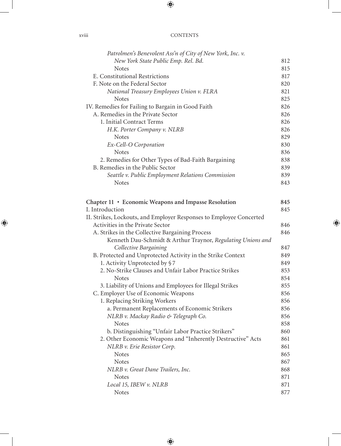| Patrolmen's Benevolent Ass'n of City of New York, Inc. v.               |     |
|-------------------------------------------------------------------------|-----|
| New York State Public Emp. Rel. Bd.                                     | 812 |
| <b>Notes</b>                                                            | 815 |
| E. Constitutional Restrictions                                          | 817 |
| F. Note on the Federal Sector                                           | 820 |
| National Treasury Employees Union v. FLRA                               | 821 |
| <b>Notes</b>                                                            | 825 |
| IV. Remedies for Failing to Bargain in Good Faith                       | 826 |
| A. Remedies in the Private Sector                                       | 826 |
| 1. Initial Contract Terms                                               | 826 |
| H.K. Porter Company v. NLRB                                             | 826 |
| <b>Notes</b>                                                            | 829 |
| Ex-Cell-O Corporation                                                   | 830 |
| <b>Notes</b>                                                            | 836 |
| 2. Remedies for Other Types of Bad-Faith Bargaining                     | 838 |
| B. Remedies in the Public Sector                                        | 839 |
| Seattle v. Public Employment Relations Commission                       | 839 |
| <b>Notes</b>                                                            | 843 |
|                                                                         |     |
|                                                                         | 845 |
| Chapter 11 • Economic Weapons and Impasse Resolution<br>I. Introduction | 845 |
| II. Strikes, Lockouts, and Employer Responses to Employee Concerted     |     |
| Activities in the Private Sector                                        | 846 |
| A. Strikes in the Collective Bargaining Process                         | 846 |
| Kenneth Dau-Schmidt & Arthur Traynor, Regulating Unions and             |     |
| Collective Bargaining                                                   | 847 |
| B. Protected and Unprotected Activity in the Strike Context             | 849 |
| 1. Activity Unprotected by §7                                           | 849 |
| 2. No-Strike Clauses and Unfair Labor Practice Strikes                  | 853 |
| <b>Notes</b>                                                            | 854 |
| 3. Liability of Unions and Employees for Illegal Strikes                | 855 |
| C. Employer Use of Economic Weapons                                     | 856 |
| 1. Replacing Striking Workers                                           | 856 |
| a. Permanent Replacements of Economic Strikers                          | 856 |
| NLRB v. Mackay Radio & Telegraph Co.                                    | 856 |
| <b>Notes</b>                                                            | 858 |
| b. Distinguishing "Unfair Labor Practice Strikers"                      | 860 |
| 2. Other Economic Weapons and "Inherently Destructive" Acts             | 861 |
| NLRB v. Erie Resistor Corp.                                             | 861 |
| <b>Notes</b>                                                            | 865 |
| <b>Notes</b>                                                            | 867 |
| NLRB v. Great Dane Trailers, Inc.                                       | 868 |
| <b>Notes</b>                                                            | 871 |
| Local 15, IBEW v. NLRB                                                  | 871 |
| <b>Notes</b>                                                            | 877 |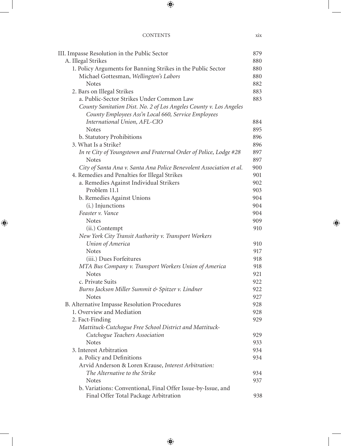| III. Impasse Resolution in the Public Sector                        | 879 |
|---------------------------------------------------------------------|-----|
| A. Illegal Strikes                                                  | 880 |
| 1. Policy Arguments for Banning Strikes in the Public Sector        | 880 |
| Michael Gottesman, Wellington's Labors                              | 880 |
| <b>Notes</b>                                                        | 882 |
| 2. Bars on Illegal Strikes                                          | 883 |
| a. Public-Sector Strikes Under Common Law                           | 883 |
| County Sanitation Dist. No. 2 of Los Angeles County v. Los Angeles  |     |
| County Employees Ass'n Local 660, Service Employees                 |     |
| International Union, AFL-CIO                                        | 884 |
| <b>Notes</b>                                                        | 895 |
| b. Statutory Prohibitions                                           | 896 |
| 3. What Is a Strike?                                                | 896 |
| In re City of Youngstown and Fraternal Order of Police, Lodge #28   | 897 |
| <b>Notes</b>                                                        | 897 |
| City of Santa Ana v. Santa Ana Police Benevolent Association et al. | 900 |
| 4. Remedies and Penalties for Illegal Strikes                       | 901 |
| a. Remedies Against Individual Strikers                             | 902 |
| Problem 11.1                                                        | 903 |
| b. Remedies Against Unions                                          | 904 |
| (i.) Injunctions                                                    | 904 |
| Feaster v. Vance                                                    | 904 |
| <b>Notes</b>                                                        | 909 |
| (ii.) Contempt                                                      | 910 |
| New York City Transit Authority v. Transport Workers                |     |
| Union of America                                                    | 910 |
| <b>Notes</b>                                                        | 917 |
| (iii.) Dues Forfeitures                                             | 918 |
| MTA Bus Company v. Transport Workers Union of America               | 918 |
| <b>Notes</b>                                                        | 921 |
| c. Private Suits                                                    | 922 |
| Burns Jackson Miller Summit & Spitzer v. Lindner                    | 922 |
| <b>Notes</b>                                                        | 927 |
| B. Alternative Impasse Resolution Procedures                        | 928 |
| 1. Overview and Mediation                                           | 928 |
| 2. Fact-Finding                                                     | 929 |
| Mattituck-Cutchogue Free School District and Mattituck-             |     |
| Cutchogue Teachers Association                                      | 929 |
| <b>Notes</b>                                                        | 933 |
| 3. Interest Arbitration                                             | 934 |
| a. Policy and Definitions                                           | 934 |
| Arvid Anderson & Loren Krause, Interest Arbitration:                |     |
| The Alternative to the Strike                                       | 934 |
| <b>Notes</b>                                                        | 937 |
| b. Variations: Conventional, Final Offer Issue-by-Issue, and        |     |
| Final Offer Total Package Arbitration                               | 938 |
|                                                                     |     |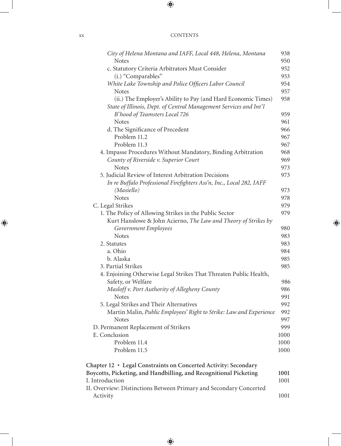| City of Helena Montana and IAFF, Local 448, Helena, Montana          | 938  |
|----------------------------------------------------------------------|------|
| <b>Notes</b>                                                         | 950  |
| c. Statutory Criteria Arbitrators Must Consider                      | 952  |
| (i.) "Comparables"                                                   | 953  |
| White Lake Township and Police Officers Labor Council                | 954  |
| <b>Notes</b>                                                         | 957  |
| (ii.) The Employer's Ability to Pay (and Hard Economic Times)        | 958  |
| State of Illinois, Dept. of Central Management Services and Int'l    |      |
| B'hood of Teamsters Local 726                                        | 959  |
| <b>Notes</b>                                                         | 961  |
| d. The Significance of Precedent                                     | 966  |
| Problem 11.2                                                         | 967  |
| Problem 11.3                                                         | 967  |
| 4. Impasse Procedures Without Mandatory, Binding Arbitration         | 968  |
| County of Riverside v. Superior Court                                | 969  |
| <b>Notes</b>                                                         | 973  |
| 5. Judicial Review of Interest Arbitration Decisions                 | 973  |
| In re Buffalo Professional Firefighters Ass'n, Inc., Local 282, IAFF |      |
| (Masiello)                                                           | 973  |
| <b>Notes</b>                                                         | 978  |
| C. Legal Strikes                                                     | 979  |
| 1. The Policy of Allowing Strikes in the Public Sector               | 979  |
| Kurt Hanslowe & John Acierno, The Law and Theory of Strikes by       |      |
| Government Employees                                                 | 980  |
| <b>Notes</b>                                                         | 983  |
| 2. Statutes                                                          | 983  |
| a. Ohio                                                              | 984  |
| b. Alaska                                                            | 985  |
| 3. Partial Strikes                                                   | 985  |
| 4. Enjoining Otherwise Legal Strikes That Threaten Public Health,    |      |
| Safety, or Welfare                                                   | 986  |
| Masloff v. Port Authority of Allegheny County                        | 986  |
| <b>Notes</b>                                                         | 991  |
| 5. Legal Strikes and Their Alternatives                              | 992  |
| Martin Malin, Public Employees' Right to Strike: Law and Experience  | 992  |
| <b>Notes</b>                                                         | 997  |
| D. Permanent Replacement of Strikers                                 | 999  |
| E. Conclusion                                                        | 1000 |
| Problem 11.4                                                         | 1000 |
| Problem 11.5                                                         | 1000 |
| Chapter 12 • Legal Constraints on Concerted Activity: Secondary      |      |
| Boycotts, Picketing, and Handbilling, and Recognitional Picketing    | 1001 |
| I. Introduction                                                      | 1001 |
| II. Overview: Distinctions Between Primary and Secondary Concerted   |      |
| Activity                                                             | 1001 |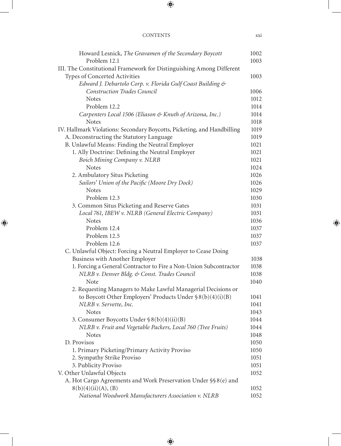| Howard Lesnick, The Gravamen of the Secondary Boycott                   | 1002 |
|-------------------------------------------------------------------------|------|
| Problem 12.1                                                            | 1003 |
| III. The Constitutional Framework for Distinguishing Among Different    |      |
| Types of Concerted Activities                                           | 1003 |
| Edward J. Debartolo Corp. v. Florida Gulf Coast Building &              |      |
| <b>Construction Trades Council</b>                                      | 1006 |
| <b>Notes</b>                                                            | 1012 |
| Problem 12.2                                                            | 1014 |
| Carpenters Local 1506 (Eliason & Knuth of Arizona, Inc.)                | 1014 |
| <b>Notes</b>                                                            | 1018 |
| IV. Hallmark Violations: Secondary Boycotts, Picketing, and Handbilling | 1019 |
| A. Deconstructing the Statutory Language                                | 1019 |
| B. Unlawful Means: Finding the Neutral Employer                         | 1021 |
| 1. Ally Doctrine: Defining the Neutral Employer                         | 1021 |
| Boich Mining Company v. NLRB                                            | 1021 |
| <b>Notes</b>                                                            | 1024 |
| 2. Ambulatory Situs Picketing                                           | 1026 |
| Sailors' Union of the Pacific (Moore Dry Dock)                          | 1026 |
| <b>Notes</b>                                                            | 1029 |
| Problem 12.3                                                            | 1030 |
| 3. Common Situs Picketing and Reserve Gates                             | 1031 |
| Local 761, IBEW v. NLRB (General Electric Company)                      | 1031 |
| <b>Notes</b>                                                            | 1036 |
| Problem 12.4                                                            | 1037 |
| Problem 12.5                                                            | 1037 |
| Problem 12.6                                                            | 1037 |
| C. Unlawful Object: Forcing a Neutral Employer to Cease Doing           |      |
| Business with Another Employer                                          | 1038 |
| 1. Forcing a General Contractor to Fire a Non-Union Subcontractor       | 1038 |
| NLRB v. Denver Bldg. & Const. Trades Council                            | 1038 |
| Note                                                                    | 1040 |
| 2. Requesting Managers to Make Lawful Managerial Decisions or           |      |
| to Boycott Other Employers' Products Under $\S 8(b)(4)(i)(B)$           | 1041 |
| NLRB v. Servette, Inc.                                                  | 1041 |
| <b>Notes</b>                                                            | 1043 |
| 3. Consumer Boycotts Under § 8(b)(4)(ii)(B)                             | 1044 |
| NLRB v. Fruit and Vegetable Packers, Local 760 (Tree Fruits)            | 1044 |
| <b>Notes</b>                                                            | 1048 |
| D. Provisos                                                             | 1050 |
| 1. Primary Picketing/Primary Activity Proviso                           | 1050 |
| 2. Sympathy Strike Proviso                                              | 1051 |
| 3. Publicity Proviso                                                    | 1051 |
| V. Other Unlawful Objects                                               | 1052 |
| A. Hot Cargo Agreements and Work Preservation Under §§8(e) and          |      |
| 8(b)(4)(ii)(A), (B)                                                     | 1052 |
| National Woodwork Manufacturers Association v. NLRB                     | 1052 |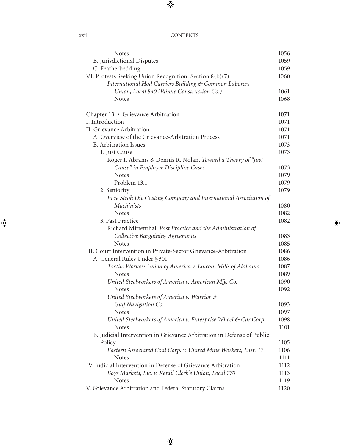| <b>Notes</b>                                                           | 1056 |
|------------------------------------------------------------------------|------|
| <b>B.</b> Jurisdictional Disputes                                      | 1059 |
| C. Featherbedding                                                      | 1059 |
| VI. Protests Seeking Union Recognition: Section 8(b)(7)                | 1060 |
| International Hod Carriers Building & Common Laborers                  |      |
| Union, Local 840 (Blinne Construction Co.)                             | 1061 |
| <b>Notes</b>                                                           | 1068 |
|                                                                        |      |
| Chapter 13 • Grievance Arbitration                                     | 1071 |
| I. Introduction                                                        | 1071 |
| II. Grievance Arbitration                                              | 1071 |
| A. Overview of the Grievance-Arbitration Process                       | 1071 |
| <b>B.</b> Arbitration Issues                                           | 1073 |
| 1. Just Cause                                                          | 1073 |
| Roger I. Abrams & Dennis R. Nolan, Toward a Theory of "Just"           |      |
| Cause" in Employee Discipline Cases                                    | 1073 |
| <b>Notes</b>                                                           | 1079 |
| Problem 13.1                                                           | 1079 |
| 2. Seniority                                                           | 1079 |
| In re Stroh Die Casting Company and International Association of       |      |
| Machinists                                                             | 1080 |
| <b>Notes</b>                                                           | 1082 |
| 3. Past Practice                                                       | 1082 |
| Richard Mittenthal, Past Practice and the Administration of            |      |
| <b>Collective Bargaining Agreements</b>                                | 1083 |
| <b>Notes</b>                                                           | 1085 |
| III. Court Intervention in Private-Sector Grievance-Arbitration        | 1086 |
| A. General Rules Under § 301                                           | 1086 |
| Textile Workers Union of America v. Lincoln Mills of Alabama           | 1087 |
| <b>Notes</b>                                                           | 1089 |
| United Steelworkers of America v. American Mfg. Co.                    | 1090 |
| <b>Notes</b>                                                           | 1092 |
| United Steelworkers of America v. Warrior &                            |      |
| Gulf Navigation Co.                                                    | 1093 |
| <b>Notes</b>                                                           | 1097 |
| United Steelworkers of America v. Enterprise Wheel & Car Corp.         | 1098 |
| <b>Notes</b>                                                           | 1101 |
| B. Judicial Intervention in Grievance Arbitration in Defense of Public |      |
| Policy                                                                 | 1105 |
| Eastern Associated Coal Corp. v. United Mine Workers, Dist. 17         | 1106 |
| <b>Notes</b>                                                           | 1111 |
| IV. Judicial Intervention in Defense of Grievance Arbitration          | 1112 |
| Boys Markets, Inc. v. Retail Clerk's Union, Local 770                  | 1113 |
| <b>Notes</b>                                                           | 1119 |
| V. Grievance Arbitration and Federal Statutory Claims                  | 1120 |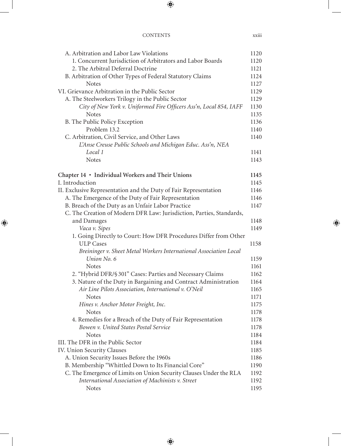| A. Arbitration and Labor Law Violations                              | 1120 |
|----------------------------------------------------------------------|------|
| 1. Concurrent Jurisdiction of Arbitrators and Labor Boards           | 1120 |
| 2. The Arbitral Deferral Doctrine                                    | 1121 |
| B. Arbitration of Other Types of Federal Statutory Claims            | 1124 |
| <b>Notes</b>                                                         | 1127 |
| VI. Grievance Arbitration in the Public Sector                       | 1129 |
| A. The Steelworkers Trilogy in the Public Sector                     | 1129 |
| City of New York v. Uniformed Fire Officers Ass'n, Local 854, IAFF   | 1130 |
| <b>Notes</b>                                                         | 1135 |
| B. The Public Policy Exception                                       | 1136 |
| Problem 13.2                                                         | 1140 |
| C. Arbitration, Civil Service, and Other Laws                        | 1140 |
| L'Anse Creuse Public Schools and Michigan Educ. Ass'n, NEA           |      |
| Local 1                                                              | 1141 |
| <b>Notes</b>                                                         | 1143 |
|                                                                      |      |
| Chapter 14 · Individual Workers and Their Unions                     | 1145 |
| I. Introduction                                                      | 1145 |
| II. Exclusive Representation and the Duty of Fair Representation     | 1146 |
| A. The Emergence of the Duty of Fair Representation                  | 1146 |
| B. Breach of the Duty as an Unfair Labor Practice                    | 1147 |
| C. The Creation of Modern DFR Law: Jurisdiction, Parties, Standards, |      |
| and Damages                                                          | 1148 |
| Vaca v. Sipes                                                        | 1149 |
| 1. Going Directly to Court: How DFR Procedures Differ from Other     |      |
| <b>ULP</b> Cases                                                     | 1158 |
| Breininger v. Sheet Metal Workers International Association Local    |      |
| Union No. 6                                                          | 1159 |
| <b>Notes</b>                                                         | 1161 |
| 2. "Hybrid DFR/§ 301" Cases: Parties and Necessary Claims            | 1162 |
| 3. Nature of the Duty in Bargaining and Contract Administration      | 1164 |
| Air Line Pilots Association, International v. O'Neil                 | 1165 |
| <b>Notes</b>                                                         | 1171 |
| Hines v. Anchor Motor Freight, Inc.                                  | 1175 |
| <b>Notes</b>                                                         | 1178 |
| 4. Remedies for a Breach of the Duty of Fair Representation          | 1178 |
| Bowen v. United States Postal Service                                | 1178 |
| <b>Notes</b>                                                         | 1184 |
| III. The DFR in the Public Sector                                    | 1184 |
| IV. Union Security Clauses                                           | 1185 |
| A. Union Security Issues Before the 1960s                            | 1186 |
| B. Membership "Whittled Down to Its Financial Core"                  | 1190 |
| C. The Emergence of Limits on Union Security Clauses Under the RLA   | 1192 |
| International Association of Machinists v. Street                    | 1192 |
| Notes                                                                | 1195 |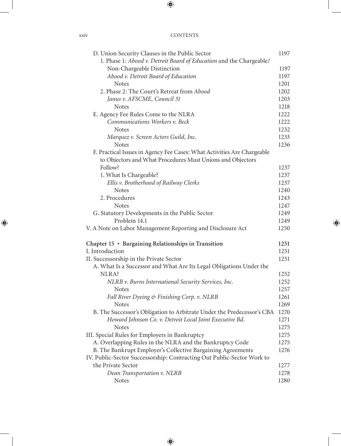| D. Union Security Clauses in the Public Sector                          | 1197 |
|-------------------------------------------------------------------------|------|
| 1. Phase 1: Abood v. Detroit Board of Education and the Chargeable/     |      |
| Non-Chargeable Distinction                                              | 1197 |
| Abood v. Detroit Board of Education                                     | 1197 |
| <b>Notes</b>                                                            | 1201 |
| 2. Phase 2: The Court's Retreat from Abood                              | 1202 |
| Janus v. AFSCME, Council 31                                             | 1203 |
| <b>Notes</b>                                                            | 1218 |
| E. Agency Fee Rules Come to the NLRA                                    | 1222 |
| Communications Workers v. Beck                                          | 1222 |
| <b>Notes</b>                                                            | 1232 |
| Marquez v. Screen Actors Guild, Inc.                                    | 1233 |
| <b>Notes</b>                                                            | 1236 |
| F. Practical Issues in Agency Fee Cases: What Activities Are Chargeable |      |
| to Objectors and What Procedures Must Unions and Objectors              |      |
| Follow?                                                                 | 1237 |
| 1. What Is Chargeable?                                                  | 1237 |
| Ellis v. Brotherhood of Railway Clerks                                  | 1237 |
| <b>Notes</b>                                                            | 1240 |
| 2. Procedures                                                           | 1243 |
| <b>Notes</b>                                                            | 1247 |
| G. Statutory Developments in the Public Sector                          | 1249 |
| Problem 14.1                                                            | 1249 |
| V. A Note on Labor Management Reporting and Disclosure Act              | 1250 |
| Chapter 15 · Bargaining Relationships in Transition                     | 1251 |
| I. Introduction                                                         | 1251 |
| II. Successorship in the Private Sector                                 | 1251 |
| A. What Is a Successor and What Are Its Legal Obligations Under the     |      |
| NLRA?                                                                   | 1252 |
| NLRB v. Burns International Security Services, Inc.                     | 1252 |
| <b>Notes</b>                                                            | 1257 |
| Fall River Dyeing & Finishing Corp. v. NLRB                             | 1261 |
| <b>Notes</b>                                                            | 1269 |
| B. The Successor's Obligation to Arbitrate Under the Predecessor's CBA  | 1270 |
| Howard Johnson Co. v. Detroit Local Joint Executive Bd.                 | 1271 |
| <b>Notes</b>                                                            | 1275 |
| III. Special Rules for Employers in Bankruptcy                          | 1275 |
| A. Overlapping Rules in the NLRA and the Bankruptcy Code                | 1275 |
| B. The Bankrupt Employer's Collective Bargaining Agreements             | 1276 |
| IV. Public-Sector Successorship: Contracting Out Public-Sector Work to  |      |
| the Private Sector                                                      | 1277 |
| Dean Transportation v. NLRB                                             | 1278 |
| <b>Notes</b>                                                            | 1280 |

xxiv CC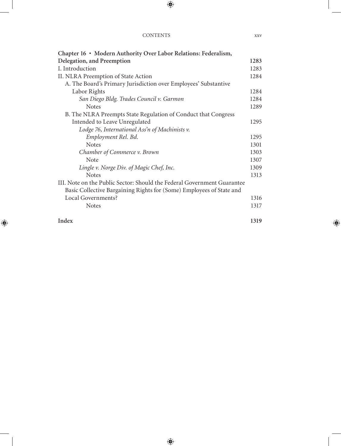| Chapter 16 • Modern Authority Over Labor Relations: Federalism,         |      |
|-------------------------------------------------------------------------|------|
| Delegation, and Preemption                                              | 1283 |
| I. Introduction                                                         | 1283 |
| II. NLRA Preemption of State Action                                     | 1284 |
| A. The Board's Primary Jurisdiction over Employees' Substantive         |      |
| Labor Rights                                                            | 1284 |
| San Diego Bldg. Trades Council v. Garmon                                | 1284 |
| <b>Notes</b>                                                            | 1289 |
| B. The NLRA Preempts State Regulation of Conduct that Congress          |      |
| Intended to Leave Unregulated                                           | 1295 |
| Lodge 76, International Ass'n of Machinists v.                          |      |
| Employment Rel. Bd.                                                     | 1295 |
| <b>Notes</b>                                                            | 1301 |
| Chamber of Commerce v. Brown                                            | 1303 |
| <b>Note</b>                                                             | 1307 |
| Lingle v. Norge Div. of Magic Chef, Inc.                                | 1309 |
| <b>Notes</b>                                                            | 1313 |
| III. Note on the Public Sector: Should the Federal Government Guarantee |      |
| Basic Collective Bargaining Rights for (Some) Employees of State and    |      |
| Local Governments?                                                      | 1316 |
| <b>Notes</b>                                                            | 1317 |
| Index                                                                   | 1319 |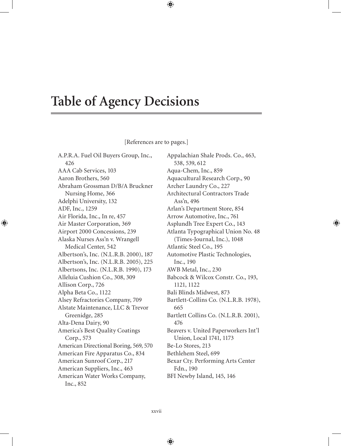# **Table of Agency Decisions**

[References are to pages.]

A.P.R.A. Fuel Oil Buyers Group, Inc., 426 AAA Cab Services, 103 Aaron Brothers, 560 Abraham Grossman D/B/A Bruckner Nursing Home, 366 Adelphi University, 132 ADF, Inc., 1259 Air Florida, Inc., In re, 457 Air Master Corporation, 369 Airport 2000 Concessions, 239 Alaska Nurses Ass'n v. Wrangell Medical Center, 542 Albertson's, Inc. (N.L.R.B. 2000), 187 Albertson's, Inc. (N.L.R.B. 2005), 225 Albertsons, Inc. (N.L.R.B. 1990), 173 Alleluia Cushion Co., 308, 309 Allison Corp., 726 Alpha Beta Co., 1122 Alsey Refractories Company, 709 Alstate Maintenance, LLC & Trevor Greenidge, 285 Alta-Dena Dairy, 90 America's Best Quality Coatings Corp., 573 American Directional Boring, 569, 570 American Fire Apparatus Co., 834 American Sunroof Corp., 217 American Suppliers, Inc., 463 American Water Works Company, Inc., 852

Appalachian Shale Prods. Co., 463, 538, 539, 612 Aqua-Chem, Inc., 859 Aquacultural Research Corp., 90 Archer Laundry Co., 227 Architectural Contractors Trade Ass'n, 496 Arlan's Department Store, 854 Arrow Automotive, Inc., 761 Asplundh Tree Expert Co., 143 Atlanta Typographical Union No. 48 (Times-Journal, Inc.), 1048 Atlantic Steel Co., 195 Automotive Plastic Technologies, Inc., 190 AWB Metal, Inc., 230 Babcock & Wilcox Constr. Co., 193, 1121, 1122 Bali Blinds Midwest, 873 Bartlett-Collins Co. (N.L.R.B. 1978), 665 Bartlett Collins Co. (N.L.R.B. 2001), 476 Beavers v. United Paperworkers Int'l Union, Local 1741, 1173 Be-Lo Stores, 213 Bethlehem Steel, 699 Bexar Cty. Performing Arts Center Fdn., 190 BFI Newby Island, 145, 146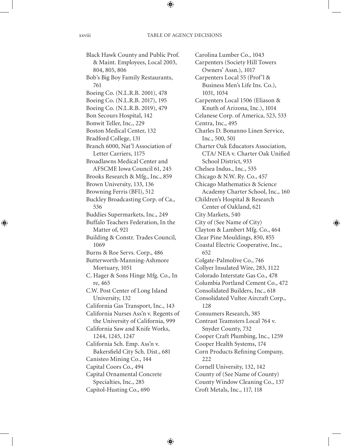Black Hawk County and Public Prof. & Maint. Employees, Local 2003, 804, 805, 806 Bob's Big Boy Family Restaurants, 761 Boeing Co. (N.L.R.B. 2001), 478 Boeing Co. (N.L.R.B. 2017), 195 Boeing Co. (N.L.R.B. 2019), 479 Bon Secours Hospital, 142 Bonwit Teller, Inc., 229 Boston Medical Center, 132 Bradford College, 131 Branch 6000, Nat'l Association of Letter Carriers, 1175 Broadlawns Medical Center and AFSCME Iowa Council 61, 245 Brooks Research & Mfg., Inc., 859 Brown University, 133, 136 Browning Ferris (BFI), 512 Buckley Broadcasting Corp. of Ca., 536 Buddies Supermarkets, Inc., 249 Buffalo Teachers Federation, In the Matter of, 921 Building & Constr. Trades Council, 1069 Burns & Roe Servs. Corp., 486 Butterworth-Manning-Ashmore Mortuary, 1051 C. Hager & Sons Hinge Mfg. Co., In re, 465 C.W. Post Center of Long Island University, 132 California Gas Transport, Inc., 143 California Nurses Ass'n v. Regents of the University of California, 999 California Saw and Knife Works, 1244, 1245, 1247 California Sch. Emp. Ass'n v. Bakersfield City Sch. Dist., 681 Canisteo Mining Co., 144 Capital Coors Co., 494 Capital Ornamental Concrete Specialties, Inc., 285 Capitol-Husting Co., 690

Carpenters (Society Hill Towers Owners' Assn.), 1017 Carpenters Local 55 (Prof'l & Business Men's Life Ins. Co.), 1031, 1034 Carpenters Local 1506 (Eliason & Knuth of Arizona, Inc.), 1014 Celanese Corp. of America, 523, 533 Centra, Inc., 495 Charles D. Bonanno Linen Service, Inc., 500, 501 Charter Oak Educators Association, CTA/ NEA v. Charter Oak Unified School District, 933 Chelsea Indus., Inc., 535 Chicago & N.W. Ry. Co., 457 Chicago Mathematics & Science Academy Charter School, Inc., 160 Children's Hospital & Research Center of Oakland, 621 City Markets, 540 City of (See Name of City) Clayton & Lambert Mfg. Co., 464 Clear Pine Mouldings, 850, 855 Coastal Electric Cooperative, Inc., 652 Colgate-Palmolive Co., 746 Collyer Insulated Wire, 283, 1122 Colorado Interstate Gas Co., 478 Columbia Portland Cement Co., 472 Consolidated Builders, Inc., 618 Consolidated Vultee Aircraft Corp., 128 Consumers Research, 385 Contrast Teamsters Local 764 v. Snyder County, 732 Cooper Craft Plumbing, Inc., 1259 Cooper Health Systems, 174 Corn Products Refining Company, 222 Cornell University, 132, 142 County of (See Name of County) County Window Cleaning Co., 137 Croft Metals, Inc., 117, 118

Carolina Lumber Co., 1043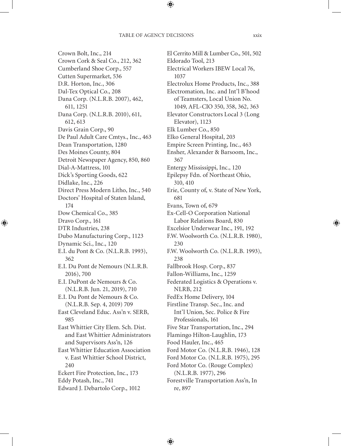Crown Bolt, Inc., 214 Crown Cork & Seal Co., 212, 362 Cumberland Shoe Corp., 557 Cutten Supermarket, 536 D.R. Horton, Inc., 306 Dal-Tex Optical Co., 208 Dana Corp. (N.L.R.B. 2007), 462, 611, 1251 Dana Corp. (N.L.R.B. 2010), 611, 612, 613 Davis Grain Corp., 90 De Paul Adult Care Cmtys., Inc., 463 Dean Transportation, 1280 Des Moines County, 804 Detroit Newspaper Agency, 850, 860 Dial-A-Mattress, 101 Dick's Sporting Goods, 622 Didlake, Inc., 226 Direct Press Modern Litho, Inc., 540 Doctors' Hospital of Staten Island, 174 Dow Chemical Co., 385 Dravo Corp., 161 DTR Industries, 238 Dubo Manufacturing Corp., 1123 Dynamic Sci., Inc., 120 E.I. du Pont & Co. (N.L.R.B. 1993), 362 E.I. Du Pont de Nemours (N.L.R.B. 2016), 700 E.I. DuPont de Nemours & Co. (N.L.R.B. Jun. 21, 2019), 710 E.I. Du Pont de Nemours & Co. (N.L.R.B. Sep. 4, 2019) 709 East Cleveland Educ. Ass'n v. SERB, 985 East Whittier City Elem. Sch. Dist. and East Whittier Administrators and Supervisors Ass'n, 126 East Whittier Education Association v. East Whittier School District, 240 Eckert Fire Protection, Inc., 173 Eddy Potash, Inc., 741 Edward J. Debartolo Corp., 1012

El Cerrito Mill & Lumber Co., 501, 502 Eldorado Tool, 213 Electrical Workers IBEW Local 76, 1037 Electrolux Home Products, Inc., 388 Electromation, Inc. and Int'l B'hood of Teamsters, Local Union No. 1049, AFL-CIO 350, 358, 362, 363 Elevator Constructors Local 3 (Long Elevator), 1123 Elk Lumber Co., 850 Elko General Hospital, 203 Empire Screen Printing, Inc., 463 Ensher, Alexander & Barsoom, Inc., 367 Entergy Mississippi, Inc., 120 Epilepsy Fdn. of Northeast Ohio, 310, 410 Erie, County of, v. State of New York, 681 Evans, Town of, 679 Ex-Cell-O Corporation National Labor Relations Board, 830 Excelsior Underwear Inc., 191, 192 F.W. Woolworth Co. (N.L.R.B. 1980), 230 F.W. Woolworth Co. (N.L.R.B. 1993), 238 Fallbrook Hosp. Corp., 837 Fallon-Williams, Inc., 1259 Federated Logistics & Operations v. NLRB, 212 FedEx Home Delivery, 104 Firstline Transp. Sec., Inc. and Int'l Union, Sec. Police & Fire Professionals, 161 Five Star Transportation, Inc., 294 Flamingo Hilton-Laughlin, 173 Food Hauler, Inc., 465 Ford Motor Co. (N.L.R.B. 1946), 128 Ford Motor Co. (N.L.R.B. 1975), 295 Ford Motor Co. (Rouge Complex) (N.L.R.B. 1977), 296 Forestville Transportation Ass'n, In re, 897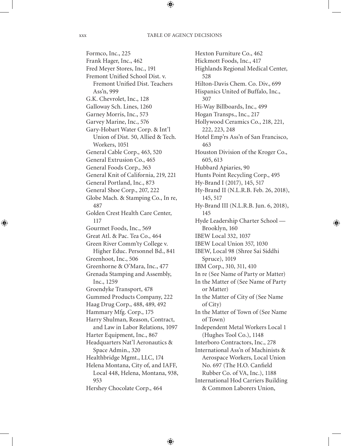Formco, Inc., 225 Frank Hager, Inc., 462 Fred Meyer Stores, Inc., 191 Fremont Unified School Dist. v. Fremont Unified Dist. Teachers Ass'n, 999 G.K. Chevrolet, Inc., 128 Galloway Sch. Lines, 1260 Garney Morris, Inc., 573 Garvey Marine, Inc., 576 Gary-Hobart Water Corp. & Int'l Union of Dist. 50, Allied & Tech. Workers, 1051 General Cable Corp., 463, 520 General Extrusion Co., 465 General Foods Corp., 363 General Knit of California, 219, 221 General Portland, Inc., 873 General Shoe Corp., 207, 222 Globe Mach. & Stamping Co., In re, 487 Golden Crest Health Care Center, 117 Gourmet Foods, Inc., 569 Great Atl. & Pac. Tea Co., 464 Green River Comm'ty College v. Higher Educ. Personnel Bd., 841 Greenhoot, Inc., 506 Greenhorne & O'Mara, Inc., 477 Grenada Stamping and Assembly, Inc., 1259 Groendyke Transport, 478 Gummed Products Company, 222 Haag Drug Corp., 488, 489, 492 Hammary Mfg. Corp., 175 Harry Shulman, Reason, Contract, and Law in Labor Relations, 1097 Harter Equipment, Inc., 867 Headquarters Nat'l Aeronautics & Space Admin., 320 Healthbridge Mgmt., LLC, 174 Helena Montana, City of, and IAFF, Local 448, Helena, Montana, 938, 953 Hershey Chocolate Corp., 464

Hexton Furniture Co., 462 Hickmott Foods, Inc., 417 Highlands Regional Medical Center, 528 Hilton-Davis Chem. Co. Div., 699 Hispanics United of Buffalo, Inc., 307 Hi-Way Billboards, Inc., 499 Hogan Transps., Inc., 217 Hollywood Ceramics Co., 218, 221, 222, 223, 248 Hotel Emp'rs Ass'n of San Francisco, 463 Houston Division of the Kroger Co., 605, 613 Hubbard Apiaries, 90 Hunts Point Recycling Corp., 495 Hy-Brand I (2017), 145, 517 Hy-Brand II (N.L.R.B. Feb. 26, 2018), 145, 517 Hy-Brand III (N.L.R.B. Jun. 6, 2018), 145 Hyde Leadership Charter School — Brooklyn, 160 IBEW Local 332, 1037 IBEW Local Union 357, 1030 IBEW, Local 98 (Shree Sai Siddhi Spruce), 1019 IBM Corp., 310, 311, 410 In re (See Name of Party or Matter) In the Matter of (See Name of Party or Matter) In the Matter of City of (See Name of City) In the Matter of Town of (See Name of Town) Independent Metal Workers Local 1 (Hughes Tool Co.), 1148 Interboro Contractors, Inc., 278 International Ass'n of Machinists & Aerospace Workers, Local Union No. 697 (The H.O. Canfield Rubber Co. of VA, Inc.), 1188 International Hod Carriers Building & Common Laborers Union,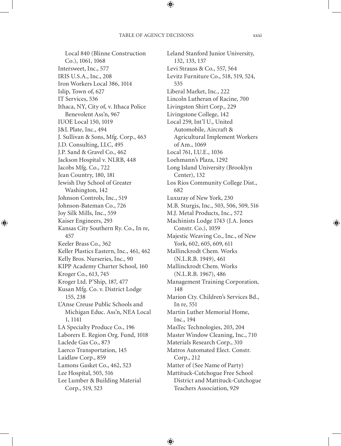Local 840 (Blinne Construction Co.), 1061, 1068 Intersweet, Inc., 577 IRIS U.S.A., Inc., 208 Iron Workers Local 386, 1014 Islip, Town of, 627 IT Services, 536 Ithaca, NY, City of, v. Ithaca Police Benevolent Ass'n, 967 IUOE Local 150, 1019 J&L Plate, Inc., 494 J. Sullivan & Sons, Mfg. Corp., 463 J.D. Consulting, LLC, 495 J.P. Sand & Gravel Co., 462 Jackson Hospital v. NLRB, 448 Jacobs Mfg. Co., 722 Jean Country, 180, 181 Jewish Day School of Greater Washington, 142 Johnson Controls, Inc., 519 Johnson-Bateman Co., 726 Joy Silk Mills, Inc., 559 Kaiser Engineers, 293 Kansas City Southern Ry. Co., In re, 457 Keeler Brass Co., 362 Keller Plastics Eastern, Inc., 461, 462 Kelly Bros. Nurseries, Inc., 90 KIPP Academy Charter School, 160 Kroger Co., 613, 745 Kroger Ltd. P'Ship, 187, 477 Kusan Mfg. Co. v. District Lodge 155, 238 L'Anse Creuse Public Schools and Michigan Educ. Ass'n, NEA Local 1, 1141 LA Specialty Produce Co., 196 Laborers E. Region Org. Fund, 1018 Laclede Gas Co., 873 Laerco Transportation, 145 Laidlaw Corp., 859 Lamons Gasket Co., 462, 523 Lee Hospital, 505, 516 Lee Lumber & Building Material Corp., 519, 523

Leland Stanford Junior University, 132, 133, 137 Levi Strauss & Co., 557, 564 Levitz Furniture Co., 518, 519, 524, 535 Liberal Market, Inc., 222 Lincoln Lutheran of Racine, 700 Livingston Shirt Corp., 229 Livingstone College, 142 Local 259, Int'l U., United Automobile, Aircraft & Agricultural Implement Workers of Am., 1069 Local 761, I.U.E., 1036 Loehmann's Plaza, 1292 Long Island University (Brooklyn Center), 132 Los Rios Community College Dist., 682 Luxuray of New York, 230 M.B. Sturgis, Inc., 503, 506, 509, 516 M.J. Metal Products, Inc., 572 Machinists Lodge 1743 (J.A. Jones Constr. Co.), 1059 Majestic Weaving Co., Inc., of New York, 602, 605, 609, 611 Mallinckrodt Chem. Works (N.L.R.B. 1949), 461 Mallinckrodt Chem. Works (N.L.R.B. 1967), 486 Management Training Corporation, 148 Marion Cty. Children's Services Bd., In re, 551 Martin Luther Memorial Home, Inc., 194 MasTec Technologies, 203, 204 Master Window Cleaning, Inc., 710 Materials Research Corp., 310 Matros Automated Elect. Constr. Corp., 212 Matter of (See Name of Party) Mattituck-Cutchogue Free School District and Mattituck-Cutchogue Teachers Association, 929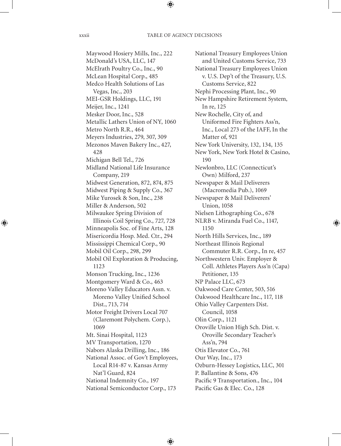Maywood Hosiery Mills, Inc., 222 McDonald's USA, LLC, 147 McElrath Poultry Co., Inc., 90 McLean Hospital Corp., 485 Medco Health Solutions of Las Vegas, Inc., 203 MEI-GSR Holdings, LLC, 191 Meijer, Inc., 1241 Mesker Door, Inc., 528 Metallic Lathers Union of NY, 1060 Metro North R.R., 464 Meyers Industries, 279, 307, 309 Mezonos Maven Bakery Inc., 427, 428 Michigan Bell Tel., 726 Midland National Life Insurance Company, 219 Midwest Generation, 872, 874, 875 Midwest Piping & Supply Co., 367 Mike Yurosek & Son, Inc., 238 Miller & Anderson, 502 Milwaukee Spring Division of Illinois Coil Spring Co., 727, 728 Minneapolis Soc. of Fine Arts, 128 Misericordia Hosp. Med. Ctr., 294 Mississippi Chemical Corp., 90 Mobil Oil Corp., 298, 299 Mobil Oil Exploration & Producing, 1123 Monson Trucking, Inc., 1236 Montgomery Ward & Co., 463 Moreno Valley Educators Assn. v. Moreno Valley Unified School Dist., 713, 714 Motor Freight Drivers Local 707 (Claremont Polychem. Corp.), 1069 Mt. Sinai Hospital, 1123 MV Transportation, 1270 Nabors Alaska Drilling, Inc., 186 National Assoc. of Gov't Employees, Local R14-87 v. Kansas Army Nat'l Guard, 824 National Indemnity Co., 197 National Semiconductor Corp., 173

National Treasury Employees Union and United Customs Service, 733 National Treasury Employees Union v. U.S. Dep't of the Treasury, U.S. Customs Service, 822 Nephi Processing Plant, Inc., 90 New Hampshire Retirement System, In re, 125 New Rochelle, City of, and Uniformed Fire Fighters Ass'n, Inc., Local 273 of the IAFF, In the Matter of, 921 New York University, 132, 134, 135 New York, New York Hotel & Casino, 190 Newlonbro, LLC (Connecticut's Own) Milford, 237 Newspaper & Mail Deliverers (Macromedia Pub.), 1069 Newspaper & Mail Deliverers' Union, 1058 Nielsen Lithographing Co., 678 NLRB v. Miranda Fuel Co., 1147, 1150 North Hills Services, Inc., 189 Northeast Illinois Regional Commuter R.R. Corp., In re, 457 Northwestern Univ. Employer & Coll. Athletes Players Ass'n (Capa) Petitioner, 135 NP Palace LLC, 673 Oakwood Care Center, 503, 516 Oakwood Healthcare Inc., 117, 118 Ohio Valley Carpenters Dist. Council, 1058 Olin Corp., 1121 Oroville Union High Sch. Dist. v. Oroville Secondary Teacher's Ass'n, 794 Otis Elevator Co., 761 Our Way, Inc., 173 Ozburn-Hessey Logistics, LLC, 301 P. Ballantine & Sons, 476 Pacific 9 Transportation., Inc., 104 Pacific Gas & Elec. Co., 128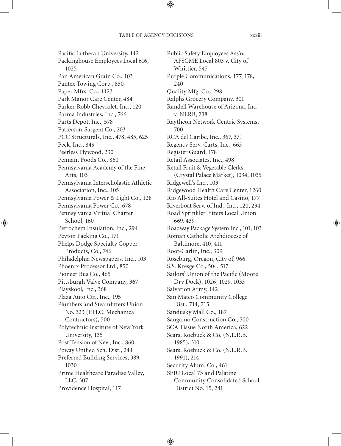Pacific Lutheran University, 142 Packinghouse Employees Local 616, 1025 Pan American Grain Co., 103 Pantex Towing Corp., 850 Paper Mfrs. Co., 1123 Park Manor Care Center, 484 Parker-Robb Chevrolet, Inc., 120 Parma Industries, Inc., 766 Parts Depot, Inc., 578 Patterson-Sargent Co., 203 PCC Structurals, Inc., 478, 485, 625 Peck, Inc., 849 Peerless Plywood, 230 Pennant Foods Co., 860 Pennsylvania Academy of the Fine Arts, 103 Pennsylvania Interscholastic Athletic Association, Inc., 105 Pennsylvania Power & Light Co., 128 Pennsylvania Power Co., 678 Pennsylvania Virtual Charter School, 160 Petrochem Insulation, Inc., 294 Peyton Packing Co., 171 Phelps Dodge Specialty Copper Products, Co., 746 Philadelphia Newspapers, Inc., 103 Phoenix Processor Ltd., 850 Pioneer Bus Co., 465 Pittsburgh Valve Company, 367 Playskool, Inc., 368 Plaza Auto Ctr., Inc., 195 Plumbers and Steamfitters Union No. 323 (P.H.C. Mechanical Contractors), 500 Polytechnic Institute of New York University, 135 Post Tension of Nev., Inc., 860 Poway Unified Sch. Dist., 244 Preferred Building Services, 389, 1030 Prime Healthcare Paradise Valley, LLC, 307 Providence Hospital, 117

Public Safety Employees Ass'n, AFSCME Local 803 v. City of Whittier, 547 Purple Communications, 177, 178, 240 Quality Mfg. Co., 298 Ralphs Grocery Company, 301 Randell Warehouse of Arizona, Inc. v. NLRB, 238 Raytheon Network Centric Systems, 700 RCA del Caribe, Inc., 367, 371 Regency Serv. Carts, Inc., 663 Register Guard, 178 Retail Associates, Inc., 498 Retail Fruit & Vegetable Clerks (Crystal Palace Market), 1034, 1035 Ridgewell's Inc., 103 Ridgewood Health Care Center, 1260 Rio All-Suites Hotel and Casino, 177 Riverboat Serv. of Ind., Inc., 120, 294 Road Sprinkler Fitters Local Union 669, 439 Roadway Package System Inc., 101, 103 Roman Catholic Archdiocese of Baltimore, 410, 411 Root-Carlin, Inc., 309 Roseburg, Oregon, City of, 966 S.S. Kresge Co., 504, 517 Sailors' Union of the Pacific (Moore Dry Dock), 1026, 1029, 1033 Salvation Army, 142 San Mateo Community College Dist., 714, 715 Sandusky Mall Co., 187 Sangamo Construction Co., 500 SCA Tissue North America, 622 Sears, Roebuck & Co. (N.L.R.B. 1985), 310 Sears, Roebuck & Co. (N.L.R.B. 1991), 214 Security Alum. Co., 461 SEIU Local 73 and Palatine Community Consolidated School District No. 15, 241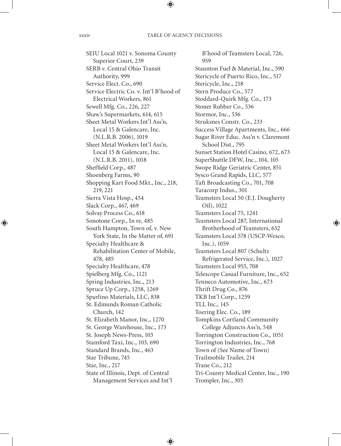SEIU Local 1021 v. Sonoma County Superior Court, 239 SERB v. Central Ohio Transit Authority, 999 Service Elect. Co., 690 Service Electric Co. v. Int'l B'hood of Electrical Workers, 861 Sewell Mfg. Co., 226, 227 Shaw's Supermarkets, 614, 615 Sheet Metal Workers Int'l Ass'n, Local 15 & Galencare, Inc. (N.L.R.B. 2006), 1019 Sheet Metal Workers Int'l Ass'n, Local 15 & Galencare, Inc. (N.L.R.B. 2011), 1018 Sheffield Corp., 487 Shoenberg Farms, 90 Shopping Kart Food Mkt., Inc., 218, 219, 221 Sierra Vista Hosp., 454 Slack Corp., 467, 469 Solvay Process Co., 618 Sonotone Corp., In re, 485 South Hampton, Town of, v. New York State, In the Matter of, 691 Specialty Healthcare & Rehabilitation Center of Mobile, 478, 485 Specialty Healthcare, 478 Spielberg Mfg. Co., 1121 Spring Industries, Inc., 213 Spruce Up Corp., 1258, 1269 Spurlino Materials, LLC, 838 St. Edmunds Roman Catholic Church, 142 St. Elizabeth Manor, Inc., 1270 St. George Warehouse, Inc., 173 St. Joseph News-Press, 103 Stamford Taxi, Inc., 103, 690 Standard Brands, Inc., 463 Star Tribune, 745 Star, Inc., 217 State of Illinois, Dept. of Central Management Services and Int'l

B'hood of Teamsters Local, 726, 959 Staunton Fuel & Material, Inc., 590 Stericycle of Puerto Rico, Inc., 517 Stericycle, Inc., 218 Stern Produce Co., 577 Stoddard-Quirk Mfg. Co., 173 Stoner Rubber Co., 536 Stormor, Inc., 536 Struksnes Constr. Co., 233 Success Village Apartments, Inc., 666 Sugar River Educ. Ass'n v. Claremont School Dist., 795 Sunset Station Hotel Casino, 672, 673 SuperShuttle DFW, Inc., 104, 105 Swope Ridge Geriatric Center, 851 Sysco Grand Rapids, LLC, 577 Taft Broadcasting Co., 701, 708 Taracorp Indus., 301 Teamsters Local 50 (E.J. Dougherty Oil), 1022 Teamsters Local 75, 1241 Teamsters Local 287, International Brotherhood of Teamsters, 652 Teamsters Local 578 (USCP-Wesco, Inc.), 1059 Teamsters Local 807 (Schultz Refrigerated Service, Inc.), 1027 Teamsters Local 955, 708 Telescope Casual Furniture, Inc., 652 Tenneco Automotive, Inc., 673 Thrift Drug Co., 876 TKB Int'l Corp., 1259 TLI, Inc., 145 Toering Elec. Co., 189 Tompkins Cortland Community College Adjuncts Ass'n, 548 Torrington Construction Co., 1051 Torrington Industries, Inc., 768 Town of (See Name of Town) Trailmobile Trailer, 214 Trane Co., 212 Tri-County Medical Center, Inc., 190 Trompler, Inc., 305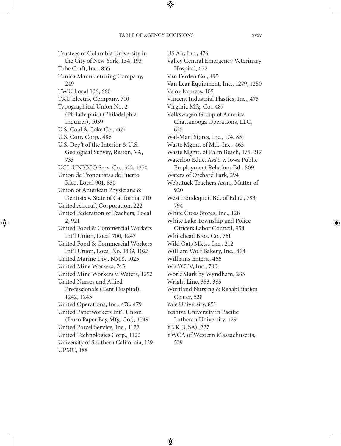Trustees of Columbia University in the City of New York, 134, 193 Tube Craft, Inc., 855 Tunica Manufacturing Company, 249 TWU Local 106, 660 TXU Electric Company, 710 Typographical Union No. 2 (Philadelphia) (Philadelphia Inquirer), 1059 U.S. Coal & Coke Co., 465 U.S. Corr. Corp., 486 U.S. Dep't of the Interior & U.S. Geological Survey, Reston, VA, 733 UGL-UNICCO Serv. Co., 523, 1270 Union de Tronquistas de Puerto Rico, Local 901, 850 Union of American Physicians & Dentists v. State of California, 710 United Aircraft Corporation, 222 United Federation of Teachers, Local 2, 921 United Food & Commercial Workers Int'l Union, Local 700, 1247 United Food & Commercial Workers Int'l Union, Local No. 1439, 1023 United Marine Div., NMY, 1025 United Mine Workers, 745 United Mine Workers v. Waters, 1292 United Nurses and Allied Professionals (Kent Hospital), 1242, 1243 United Operations, Inc., 478, 479 United Paperworkers Int'l Union (Duro Paper Bag Mfg. Co.), 1049 United Parcel Service, Inc., 1122 United Technologies Corp., 1122 University of Southern California, 129

UPMC, 188

US Air, Inc., 476 Valley Central Emergency Veterinary Hospital, 652 Van Eerden Co., 495 Van Lear Equipment, Inc., 1279, 1280 Velox Express, 105 Vincent Industrial Plastics, Inc., 475 Virginia Mfg. Co., 487 Volkswagen Group of America Chattanooga Operations, LLC, 625 Wal-Mart Stores, Inc., 174, 851 Waste Mgmt. of Md., Inc., 463 Waste Mgmt. of Palm Beach, 175, 217 Waterloo Educ. Ass'n v. Iowa Public Employment Relations Bd., 809 Waters of Orchard Park, 294 Webutuck Teachers Assn., Matter of, 920 West Irondequoit Bd. of Educ., 793, 794 White Cross Stores, Inc., 128 White Lake Township and Police Officers Labor Council, 954 Whitehead Bros. Co., 761 Wild Oats Mkts., Inc., 212 William Wolf Bakery, Inc., 464 Williams Enters., 466 WKYCTV, Inc., 700 WorldMark by Wyndham, 285 Wright Line, 383, 385 Wurtland Nursing & Rehabilitation Center, 528 Yale University, 851 Yeshiva University in Pacific Lutheran University, 129 YKK (USA), 227 YWCA of Western Massachusetts, 539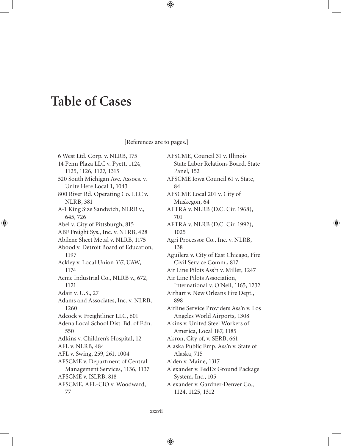# **Table of Cases**

### [References are to pages.]

6 West Ltd. Corp. v. NLRB, 175 14 Penn Plaza LLC v. Pyett, 1124, 1125, 1126, 1127, 1315 520 South Michigan Ave. Assocs. v. Unite Here Local 1, 1043 800 River Rd. Operating Co. LLC v. NLRB, 381 A-1 King Size Sandwich, NLRB v., 645, 726 Abel v. City of Pittsburgh, 815 ABF Freight Sys., Inc. v. NLRB, 428 Abilene Sheet Metal v. NLRB, 1175 Abood v. Detroit Board of Education, 1197 Ackley v. Local Union 337, UAW, 1174 Acme Industrial Co., NLRB v., 672, 1121 Adair v. U.S., 27 Adams and Associates, Inc. v. NLRB, 1260 Adcock v. Freightliner LLC, 601 Adena Local School Dist. Bd. of Edn. 550 Adkins v. Children's Hospital, 12 AFL v. NLRB, 484 AFL v. Swing, 259, 261, 1004 AFSCME v. Department of Central Management Services, 1136, 1137 AFSCME v. ISLRB, 818 AFSCME, AFL-CIO v. Woodward, 77

AFSCME, Council 31 v. Illinois State Labor Relations Board, State Panel, 152 AFSCME Iowa Council 61 v. State, 84 AFSCME Local 201 v. City of Muskegon, 64 AFTRA v. NLRB (D.C. Cir. 1968), 701 AFTRA v. NLRB (D.C. Cir. 1992), 1025 Agri Processor Co., Inc. v. NLRB, 138 Aguilera v. City of East Chicago, Fire Civil Service Comm., 817 Air Line Pilots Ass'n v. Miller, 1247 Air Line Pilots Association, International v. O'Neil, 1165, 1232 Airhart v. New Orleans Fire Dept., 898 Airline Service Providers Ass'n v. Los Angeles World Airports, 1308 Akins v. United Steel Workers of America, Local 187, 1185 Akron, City of, v. SERB, 661 Alaska Public Emp. Ass'n v. State of Alaska, 715 Alden v. Maine, 1317 Alexander v. FedEx Ground Package System, Inc., 105 Alexander v. Gardner-Denver Co., 1124, 1125, 1312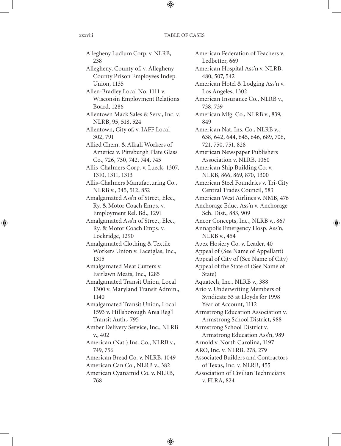Allegheny Ludlum Corp. v. NLRB, 238 Allegheny, County of, v. Allegheny County Prison Employees Indep. Union, 1135 Allen-Bradley Local No. 1111 v. Wisconsin Employment Relations Board, 1286 Allentown Mack Sales & Serv., Inc. v. NLRB, 95, 518, 524 Allentown, City of, v. IAFF Local 302, 791 Allied Chem. & Alkali Workers of America v. Pittsburgh Plate Glass Co., 726, 730, 742, 744, 745 Allis-Chalmers Corp. v. Lueck, 1307, 1310, 1311, 1313 Allis-Chalmers Manufacturing Co., NLRB v., 345, 512, 852 Amalgamated Ass'n of Street, Elec., Ry. & Motor Coach Emps. v. Employment Rel. Bd., 1291 Amalgamated Ass'n of Street, Elec., Ry. & Motor Coach Emps. v. Lockridge, 1290 Amalgamated Clothing & Textile Workers Union v. Facetglas, Inc., 1315 Amalgamated Meat Cutters v. Fairlawn Meats, Inc., 1285 Amalgamated Transit Union, Local 1300 v. Maryland Transit Admin., 1140 Amalgamated Transit Union, Local 1593 v. Hillsborough Area Reg'l Transit Auth., 795 Amber Delivery Service, Inc., NLRB v., 402 American (Nat.) Ins. Co., NLRB v., 749, 756 American Bread Co. v. NLRB, 1049 American Can Co., NLRB v., 382 American Cyanamid Co. v. NLRB, 768

American Federation of Teachers v. Ledbetter, 669 American Hospital Ass'n v. NLRB, 480, 507, 542 American Hotel & Lodging Ass'n v. Los Angeles, 1302 American Insurance Co., NLRB v., 738, 739 American Mfg. Co., NLRB v., 839, 849 American Nat. Ins. Co., NLRB v., 638, 642, 644, 645, 646, 689, 706, 721, 750, 751, 828 American Newspaper Publishers Association v. NLRB, 1060 American Ship Building Co. v. NLRB, 866, 869, 870, 1300 American Steel Foundries v. Tri-City Central Trades Council, 583 American West Airlines v. NMB, 476 Anchorage Educ. Ass'n v. Anchorage Sch. Dist., 883, 909 Ancor Concepts, Inc., NLRB v., 867 Annapolis Emergency Hosp. Ass'n, NLRB v., 454 Apex Hosiery Co. v. Leader, 40 Appeal of (See Name of Appellant) Appeal of City of (See Name of City) Appeal of the State of (See Name of State) Aquatech, Inc., NLRB v., 388 Ario v. Underwriting Members of Syndicate 53 at Lloyds for 1998 Year of Account, 1112 Armstrong Education Association v. Armstrong School District, 988 Armstrong School District v. Armstrong Education Ass'n, 989 Arnold v. North Carolina, 1197 ARO, Inc. v. NLRB, 278, 279 Associated Builders and Contractors of Texas, Inc. v. NLRB, 455 Association of Civilian Technicians v. FLRA, 824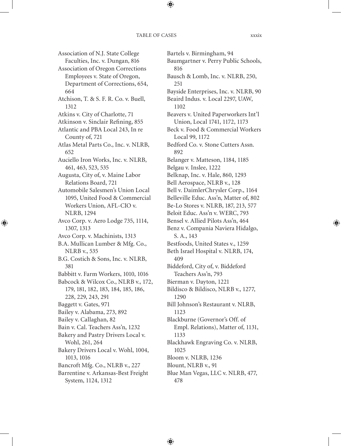### TABLE OF CASES xxxix

Association of N.J. State College Faculties, Inc. v. Dungan, 816 Association of Oregon Corrections Employees v. State of Oregon, Department of Corrections, 654, 664 Atchison, T. & S. F. R. Co. v. Buell, 1312 Atkins v. City of Charlotte, 71 Atkinson v. Sinclair Refining, 855 Atlantic and PBA Local 243, In re County of, 721 Atlas Metal Parts Co., Inc. v. NLRB, 652 Auciello Iron Works, Inc. v. NLRB, 461, 463, 523, 535 Augusta, City of, v. Maine Labor Relations Board, 721 Automobile Salesmen's Union Local 1095, United Food & Commercial Workers Union, AFL-CIO v. NLRB, 1294 Avco Corp. v. Aero Lodge 735, 1114, 1307, 1313 Avco Corp. v. Machinists, 1313 B.A. Mullican Lumber & Mfg. Co., NLRB v., 535 B.G. Costich & Sons, Inc. v. NLRB, 381 Babbitt v. Farm Workers, 1010, 1016 Babcock & Wilcox Co., NLRB v., 172, 179, 181, 182, 183, 184, 185, 186, 228, 229, 243, 291 Baggett v. Gates, 971 Bailey v. Alabama, 273, 892 Bailey v. Callaghan, 82 Bain v. Cal. Teachers Ass'n, 1232 Bakery and Pastry Drivers Local v. Wohl, 261, 264 Bakery Drivers Local v. Wohl, 1004, 1013, 1016 Bancroft Mfg. Co., NLRB v., 227 Barrentine v. Arkansas-Best Freight System, 1124, 1312

Bartels v. Birmingham, 94 Baumgartner v. Perry Public Schools, 816 Bausch & Lomb, Inc. v. NLRB, 250, 251 Bayside Enterprises, Inc. v. NLRB, 90 Beaird Indus. v. Local 2297, UAW, 1102 Beavers v. United Paperworkers Int'l Union, Local 1741, 1172, 1173 Beck v. Food & Commercial Workers Local 99, 1172 Bedford Co. v. Stone Cutters Assn. 892 Belanger v. Matteson, 1184, 1185 Belgau v. Inslee, 1222 Belknap, Inc. v. Hale, 860, 1293 Bell Aerospace, NLRB v., 128 Bell v. DaimlerChrysler Corp., 1164 Belleville Educ. Ass'n, Matter of, 802 Be-Lo Stores v. NLRB, 187, 213, 577 Beloit Educ. Ass'n v. WERC, 793 Bensel v. Allied Pilots Ass'n, 464 Benz v. Compania Naviera Hidalgo, S. A., 143 Bestfoods, United States v., 1259 Beth Israel Hospital v. NLRB, 174, 409 Biddeford, City of, v. Biddeford Teachers Ass'n, 793 Bierman v. Dayton, 1221 Bildisco & Bildisco, NLRB v., 1277, 1290 Bill Johnson's Restaurant v. NLRB, 1123 Blackburne (Governor's Off. of Empl. Relations), Matter of, 1131, 1133 Blackhawk Engraving Co. v. NLRB, 1025 Bloom v. NLRB, 1236 Blount, NLRB v., 91 Blue Man Vegas, LLC v. NLRB, 477, 478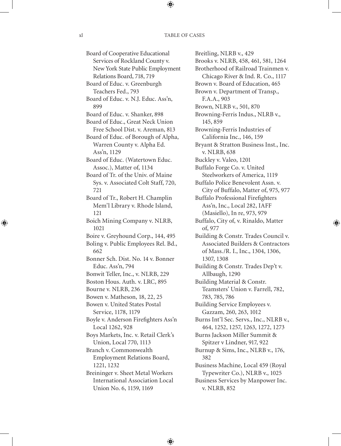Board of Cooperative Educational Services of Rockland County v. New York State Public Employment Relations Board, 718, 719 Board of Educ. v. Greenburgh Teachers Fed., 793 Board of Educ. v. N.J. Educ. Ass'n, 899 Board of Educ. v. Shanker, 898 Board of Educ., Great Neck Union Free School Dist. v. Areman, 813 Board of Educ. of Borough of Alpha, Warren County v. Alpha Ed. Ass'n, 1129 Board of Educ. (Watertown Educ. Assoc.), Matter of, 1134 Board of Tr. of the Univ. of Maine Sys. v. Associated Colt Staff, 720, 721 Board of Tr., Robert H. Champlin Mem'l Library v. Rhode Island, 121 Boich Mining Company v. NLRB, 1021 Boire v. Greyhound Corp., 144, 495 Boling v. Public Employees Rel. Bd., 662 Bonner Sch. Dist. No. 14 v. Bonner Educ. Ass'n, 794 Bonwit Teller, Inc., v. NLRB, 229 Boston Hous. Auth. v. LRC, 895 Bourne v. NLRB, 236 Bowen v. Matheson, 18, 22, 25 Bowen v. United States Postal Service, 1178, 1179 Boyle v. Anderson Firefighters Ass'n Local 1262, 928 Boys Markets, Inc. v. Retail Clerk's Union, Local 770, 1113 Branch v. Commonwealth Employment Relations Board, 1221, 1232 Breininger v. Sheet Metal Workers International Association Local Union No. 6, 1159, 1169

Breitling, NLRB v., 429 Brooks v. NLRB, 458, 461, 581, 1264 Brotherhood of Railroad Trainmen v. Chicago River & Ind. R. Co., 1117 Brown v. Board of Education, 465 Brown v. Department of Transp., F.A.A., 903 Brown, NLRB v., 501, 870 Browning-Ferris Indus., NLRB v., 145, 859 Browning-Ferris Industries of California Inc., 146, 159 Bryant & Stratton Business Inst., Inc. v. NLRB, 638 Buckley v. Valeo, 1201 Buffalo Forge Co. v. United Steelworkers of America, 1119 Buffalo Police Benevolent Assn. v. City of Buffalo, Matter of, 975, 977 Buffalo Professional Firefighters Ass'n, Inc., Local 282, IAFF (Masiello), In re, 973, 979 Buffalo, City of, v. Rinaldo, Matter of, 977 Building & Constr. Trades Council v. Associated Builders & Contractors of Mass./R. I., Inc., 1304, 1306, 1307, 1308 Building & Constr. Trades Dep't v. Allbaugh, 1290 Building Material & Constr. Teamsters' Union v. Farrell, 782, 783, 785, 786 Building Service Employees v. Gazzam, 260, 263, 1012 Burns Int'l Sec. Servs., Inc., NLRB v., 464, 1252, 1257, 1263, 1272, 1273 Burns Jackson Miller Summit & Spitzer v Lindner, 917, 922 Burnup & Sims, Inc., NLRB v., 176, 382 Business Machine, Local 459 (Royal Typewriter Co.), NLRB v., 1025 Business Services by Manpower Inc. v. NLRB, 852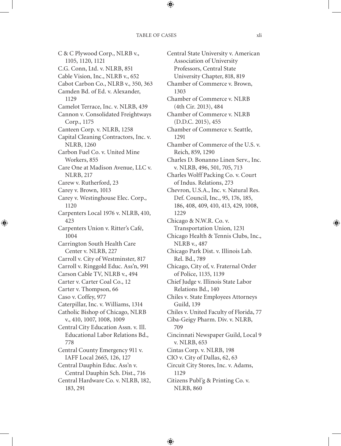#### TABLE OF CASES  $x^{\dagger}$

C & C Plywood Corp., NLRB v., 1105, 1120, 1121 C.G. Conn, Ltd. v. NLRB, 851 Cable Vision, Inc., NLRB v., 652 Cabot Carbon Co., NLRB v., 350, 363 Camden Bd. of Ed. v. Alexander, 1129 Camelot Terrace, Inc. v. NLRB, 439 Cannon v. Consolidated Freightways Corp., 1175 Canteen Corp. v. NLRB, 1258 Capital Cleaning Contractors, Inc. v. NLRB, 1260 Carbon Fuel Co. v. United Mine Workers, 855 Care One at Madison Avenue, LLC v. NLRB, 217 Carew v. Rutherford, 23 Carey v. Brown, 1013 Carey v. Westinghouse Elec. Corp., 1120 Carpenters Local 1976 v. NLRB, 410, 423 Carpenters Union v. Ritter's Café, 1004 Carrington South Health Care Center v. NLRB, 227 Carroll v. City of Westminster, 817 Carroll v. Ringgold Educ. Ass'n, 991 Carson Cable TV, NLRB v., 494 Carter v. Carter Coal Co., 12 Carter v. Thompson, 66 Caso v. Coffey, 977 Caterpillar, Inc. v. Williams, 1314 Catholic Bishop of Chicago, NLRB v., 410, 1007, 1008, 1009 Central City Education Assn. v. Ill. Educational Labor Relations Bd., 778 Central County Emergency 911 v. IAFF Local 2665, 126, 127 Central Dauphin Educ. Ass'n v. Central Dauphin Sch. Dist., 716 Central Hardware Co. v. NLRB, 182, 183, 291

Central State University v. American Association of University Professors, Central State University Chapter, 818, 819 Chamber of Commerce v. Brown, 1303 Chamber of Commerce v. NLRB (4th Cir. 2013), 484 Chamber of Commerce v. NLRB (D.D.C. 2015), 455 Chamber of Commerce v. Seattle, 1291 Chamber of Commerce of the U.S. v. Reich, 859, 1290 Charles D. Bonanno Linen Serv., Inc. v. NLRB, 496, 501, 705, 713 Charles Wolff Packing Co. v. Court of Indus. Relations, 273 Chevron, U.S.A., Inc. v. Natural Res. Def. Council, Inc., 95, 176, 185, 186, 408, 409, 410, 413, 429, 1008, 1229 Chicago & N.W.R. Co. v. Transportation Union, 1231 Chicago Health & Tennis Clubs, Inc., NLRB v., 487 Chicago Park Dist. v. Illinois Lab. Rel. Bd., 789 Chicago, City of, v. Fraternal Order of Police, 1135, 1139 Chief Judge v. Illinois State Labor Relations Bd., 140 Chiles v. State Employees Attorneys Guild, 139 Chiles v. United Faculty of Florida, 77 Ciba-Geigy Pharm. Div. v. NLRB, 709 Cincinnati Newspaper Guild, Local 9 v. NLRB, 653 Cintas Corp. v. NLRB, 198 CIO v. City of Dallas, 62, 63 Circuit City Stores, Inc. v. Adams, 1129 Citizens Publ'g & Printing Co. v. NLRB, 860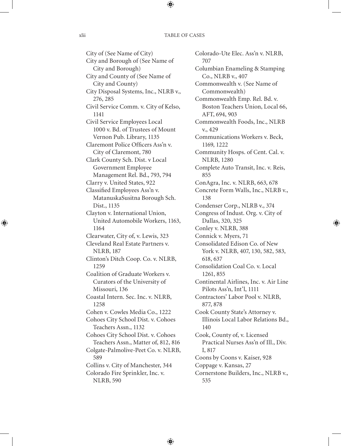City of (See Name of City) City and Borough of (See Name of City and Borough) City and County of (See Name of City and County) City Disposal Systems, Inc., NLRB v., 276, 285 Civil Service Comm. v. City of Kelso, 1141 Civil Service Employees Local 1000 v. Bd. of Trustees of Mount Vernon Pub. Library, 1135 Claremont Police Officers Ass'n v. City of Claremont, 780 Clark County Sch. Dist. v Local Government Employee Management Rel. Bd., 793, 794 Clarry v. United States, 922 Classified Employees Ass'n v. MatanuskaSusitna Borough Sch. Dist., 1135 Clayton v. International Union, United Automobile Workers, 1163, 1164 Clearwater, City of, v. Lewis, 323 Cleveland Real Estate Partners v. NLRB, 187 Clinton's Ditch Coop. Co. v. NLRB, 1259 Coalition of Graduate Workers v. Curators of the University of Missouri, 136 Coastal Intern. Sec. Inc. v. NLRB, 1258 Cohen v. Cowles Media Co., 1222 Cohoes City School Dist. v. Cohoes Teachers Assn., 1132 Cohoes City School Dist. v. Cohoes Teachers Assn., Matter of, 812, 816 Colgate-Palmolive-Peet Co. v. NLRB, 589 Collins v. City of Manchester, 344 Colorado Fire Sprinkler, Inc. v. NLRB, 590

Colorado-Ute Elec. Ass'n v. NLRB, 707 Columbian Enameling & Stamping Co., NLRB v., 407 Commonwealth v. (See Name of Commonwealth) Commonwealth Emp. Rel. Bd. v. Boston Teachers Union, Local 66, AFT, 694, 903 Commonwealth Foods, Inc., NLRB v., 429 Communications Workers v. Beck, 1169, 1222 Community Hosps. of Cent. Cal. v. NLRB, 1280 Complete Auto Transit, Inc. v. Reis, 855 ConAgra, Inc. v. NLRB, 663, 678 Concrete Form Walls, Inc., NLRB v., 138 Condenser Corp., NLRB v., 374 Congress of Indust. Org. v. City of Dallas, 320, 325 Conley v. NLRB, 388 Connick v. Myers, 71 Consolidated Edison Co. of New York v. NLRB, 407, 130, 582, 583, 618, 637 Consolidation Coal Co. v. Local 1261, 855 Continental Airlines, Inc. v. Air Line Pilots Ass'n, Int'l, 1111 Contractors' Labor Pool v. NLRB, 877, 878 Cook County State's Attorney v. Illinois Local Labor Relations Bd., 140 Cook, County of, v. Licensed Practical Nurses Ass'n of Ill., Div. I, 817 Coons by Coons v. Kaiser, 928 Coppage v. Kansas, 27 Cornerstone Builders, Inc., NLRB v., 535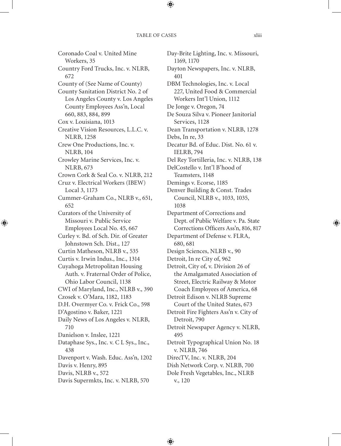Coronado Coal v. United Mine Workers, 35 Country Ford Trucks, Inc. v. NLRB, 672 County of (See Name of County) County Sanitation District No. 2 of Los Angeles County v. Los Angeles County Employees Ass'n, Local 660, 883, 884, 899 Cox v. Louisiana, 1013 Creative Vision Resources, L.L.C. v. NLRB, 1258 Crew One Productions, Inc. v. NLRB, 104 Crowley Marine Services, Inc. v. NLRB, 673 Crown Cork & Seal Co. v. NLRB, 212 Cruz v. Electrical Workers (IBEW) Local 3, 1173 Cummer-Graham Co., NLRB v., 651, 652 Curators of the University of Missouri v. Public Service Employees Local No. 45, 667 Curley v. Bd. of Sch. Dir. of Greater Johnstown Sch. Dist., 127 Curtin Matheson, NLRB v., 535 Curtis v. Irwin Indus., Inc., 1314 Cuyahoga Metropolitan Housing Auth. v. Fraternal Order of Police, Ohio Labor Council, 1138 CWI of Maryland, Inc., NLRB v., 390 Czosek v. O'Mara, 1182, 1183 D.H. Overmyer Co. v. Frick Co., 598 D'Agostino v. Baker, 1221 Daily News of Los Angeles v. NLRB, 710 Danielson v. Inslee, 1221 Dataphase Sys., Inc. v. C L Sys., Inc., 438 Davenport v. Wash. Educ. Ass'n, 1202 Davis v. Henry, 895 Davis, NLRB v., 572 Davis Supermkts, Inc. v. NLRB, 570

Day-Brite Lighting, Inc. v. Missouri, 1169, 1170 Dayton Newspapers, Inc. v. NLRB, 401 DBM Technologies, Inc. v. Local 227, United Food & Commercial Workers Int'l Union, 1112 De Jonge v. Oregon, 74 De Souza Silva v. Pioneer Janitorial Services, 1128 Dean Transportation v. NLRB, 1278 Debs, In re, 33 Decatur Bd. of Educ. Dist. No. 61 v. IELRB, 794 Del Rey Tortilleria, Inc. v. NLRB, 138 DelCostello v. Int'l B'hood of Teamsters, 1148 Demings v. Ecorse, 1185 Denver Building & Const. Trades Council, NLRB v., 1033, 1035, 1038 Department of Corrections and Dept. of Public Welfare v. Pa. State Corrections Officers Ass'n, 816, 817 Department of Defense v. FLRA, 680, 681 Design Sciences, NLRB v., 90 Detroit, In re City of, 962 Detroit, City of, v. Division 26 of the Amalgamated Association of Street, Electric Railway & Motor Coach Employees of America, 68 Detroit Edison v. NLRB Supreme Court of the United States, 673 Detroit Fire Fighters Ass'n v. City of Detroit, 790 Detroit Newspaper Agency v. NLRB, 495 Detroit Typographical Union No. 18 v. NLRB, 746 DirecTV, Inc. v. NLRB, 204 Dish Network Corp. v. NLRB, 700 Dole Fresh Vegetables, Inc., NLRB v., 120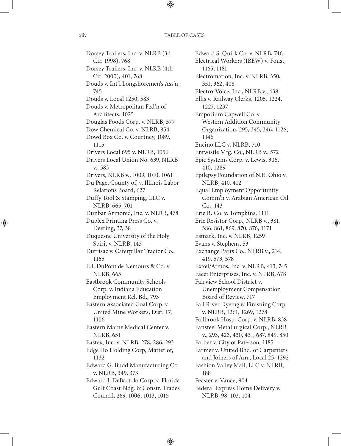Dorsey Trailers, Inc. v. NLRB (3d Cir. 1998), 768 Dorsey Trailers, Inc. v. NLRB (4th Cir. 2000), 401, 768 Douds v. Int'l Longshoremen's Ass'n, 745 Douds v. Local 1250, 583 Douds v. Metropolitan Fed'n of Architects, 1025 Douglas Foods Corp. v. NLRB, 577 Dow Chemical Co. v. NLRB, 854 Dowd Box Co. v. Courtney, 1089, 1115 Drivers Local 695 v. NLRB, 1056 Drivers Local Union No. 639, NLRB v., 583 Drivers, NLRB v., 1009, 1010, 1061 Du Page, County of, v. Illinois Labor Relations Board, 627 Duffy Tool & Stamping, LLC v. NLRB, 665, 701 Dunbar Armored, Inc. v. NLRB, 478 Duplex Printing Press Co. v. Deering, 37, 38 Duquesne University of the Holy Spirit v. NLRB, 143 Dutrisac v. Caterpillar Tractor Co., 1165 E.I. DuPont de Nemours & Co. v. NLRB, 665 Eastbrook Community Schools Corp. v. Indiana Education Employment Rel. Bd., 793 Eastern Associated Coal Corp. v. United Mine Workers, Dist. 17, 1106 Eastern Maine Medical Center v. NLRB, 651 Eastex, Inc. v. NLRB, 278, 286, 293 Edge Ho Holding Corp, Matter of, 1132 Edward G. Budd Manufacturing Co. v. NLRB, 349, 373 Edward J. DeBartolo Corp. v. Florida Gulf Coast Bldg. & Constr. Trades Council, 269, 1006, 1013, 1015

Edward S. Quirk Co. v. NLRB, 746 Electrical Workers (IBEW) v. Foust, 1165, 1181 Electromation, Inc. v. NLRB, 350, 351, 362, 408 Electro-Voice, Inc., NLRB v., 438 Ellis v. Railway Clerks, 1205, 1224, 1227, 1237 Emporium Capwell Co. v. Western Addition Community Organization, 295, 345, 346, 1126, 1146 Encino LLC v. NLRB, 710 Entwistle Mfg. Co., NLRB v., 572 Epic Systems Corp. v. Lewis, 306, 410, 1289 Epilepsy Foundation of N.E. Ohio v. NLRB, 410, 412 Equal Employment Opportunity Comm'n v. Arabian American Oil Co., 143 Erie R. Co. v. Tompkins, 1111 Erie Resistor Corp., NLRB v., 381, 386, 861, 869, 870, 876, 1171 Esmark, Inc. v. NLRB, 1259 Evans v. Stephens, 53 Exchange Parts Co., NLRB v., 214, 419, 573, 578 Exxel/Atmos, Inc. v. NLRB, 413, 745 Facet Enterprises, Inc. v. NLRB, 678 Fairview School District v. Unemployment Compensation Board of Review, 717 Fall River Dyeing & Finishing Corp. v. NLRB, 1261, 1269, 1278 Fallbrook Hosp. Corp. v. NLRB, 838 Fansteel Metallurgical Corp., NLRB v., 293, 423, 430, 431, 687, 849, 850 Farber v. City of Paterson, 1185 Farmer v. United Bhd. of Carpenters and Joiners of Am., Local 25, 1292 Fashion Valley Mall, LLC v. NLRB, 188 Feaster v. Vance, 904 Federal Express Home Delivery v. NLRB, 98, 103, 104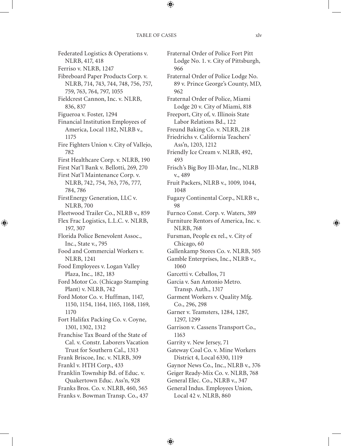Federated Logistics & Operations v. NLRB, 417, 418 Ferriso v. NLRB, 1247 Fibreboard Paper Products Corp. v. NLRB, 714, 743, 744, 748, 756, 757, 759, 763, 764, 797, 1055 Fieldcrest Cannon, Inc. v. NLRB, 836, 837 Figueroa v. Foster, 1294 Financial Institution Employees of America, Local 1182, NLRB v., 1175 Fire Fighters Union v. City of Vallejo, 782 First Healthcare Corp. v. NLRB, 190 First Nat'l Bank v. Bellotti, 269, 270 First Nat'l Maintenance Corp. v. NLRB, 742, 754, 763, 776, 777, 784, 786 FirstEnergy Generation, LLC v. NLRB, 700 Fleetwood Trailer Co., NLRB v., 859 Flex Frac Logistics, L.L.C. v. NLRB, 197, 307 Florida Police Benevolent Assoc., Inc., State v., 795 Food and Commercial Workers v. NLRB, 1241 Food Employees v. Logan Valley Plaza, Inc., 182, 183 Ford Motor Co. (Chicago Stamping Plant) v. NLRB, 742 Ford Motor Co. v. Huffman, 1147, 1150, 1154, 1164, 1165, 1168, 1169, 1170 Fort Halifax Packing Co. v. Coyne, 1301, 1302, 1312 Franchise Tax Board of the State of Cal. v. Constr. Laborers Vacation Trust for Southern Cal., 1313 Frank Briscoe, Inc. v. NLRB, 309 Frankl v. HTH Corp., 433 Franklin Township Bd. of Educ. v. Quakertown Educ. Ass'n, 928 Franks Bros. Co. v. NLRB, 460, 565 Franks v. Bowman Transp. Co., 437

Fraternal Order of Police Fort Pitt Lodge No. 1. v. City of Pittsburgh, 966 Fraternal Order of Police Lodge No. 89 v. Prince George's County, MD, 962 Fraternal Order of Police, Miami Lodge 20 v. City of Miami, 818 Freeport, City of, v. Illinois State Labor Relations Bd., 122 Freund Baking Co. v. NLRB, 218 Friedrichs v. California Teachers' Ass'n, 1203, 1212 Friendly Ice Cream v. NLRB, 492, 493 Frisch's Big Boy Ill-Mar, Inc., NLRB v., 489 Fruit Packers, NLRB v., 1009, 1044, 1048 Fugazy Continental Corp., NLRB v., 98 Furnco Const. Corp. v. Waters, 389 Furniture Rentors of America, Inc. v. NLRB, 768 Fursman, People ex rel., v. City of Chicago, 60 Gallenkamp Stores Co. v. NLRB, 505 Gamble Enterprises, Inc., NLRB v., 1060 Garcetti v. Ceballos, 71 Garcia v. San Antonio Metro. Transp. Auth., 1317 Garment Workers v. Quality Mfg. Co., 296, 298 Garner v. Teamsters, 1284, 1287, 1297, 1299 Garrison v. Cassens Transport Co., 1163 Garrity v. New Jersey, 71 Gateway Coal Co. v. Mine Workers District 4, Local 6330, 1119 Gaynor News Co., Inc., NLRB v., 376 Geiger Ready-Mix Co. v. NLRB, 768 General Elec. Co., NLRB v., 347 General Indus. Employees Union, Local 42 v. NLRB, 860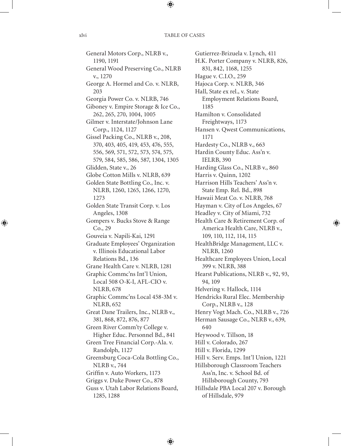General Motors Corp., NLRB v., 1190, 1191 General Wood Preserving Co., NLRB v., 1270 George A. Hormel and Co. v. NLRB, 203 Georgia Power Co. v. NLRB, 746 Giboney v. Empire Storage & Ice Co., 262, 265, 270, 1004, 1005 Gilmer v. Interstate/Johnson Lane Corp., 1124, 1127 Gissel Packing Co., NLRB v., 208, 370, 403, 405, 419, 453, 476, 555, 556, 569, 571, 572, 573, 574, 575, 579, 584, 585, 586, 587, 1304, 1305 Glidden, State v., 26 Globe Cotton Mills v. NLRB, 639 Golden State Bottling Co., Inc. v. NLRB, 1260, 1265, 1266, 1270, 1273 Golden State Transit Corp. v. Los Angeles, 1308 Gompers v. Bucks Stove & Range Co., 29 Gouveia v. Napili-Kai, 1291 Graduate Employees' Organization v. Illinois Educational Labor Relations Bd., 136 Grane Health Care v. NLRB, 1281 Graphic Commc'ns Int'l Union, Local 508 O-K-I, AFL-CIO v. NLRB, 678 Graphic Commc'ns Local 458-3M v. NLRB, 652 Great Dane Trailers, Inc., NLRB v., 381, 868, 872, 876, 877 Green River Comm'ty College v. Higher Educ. Personnel Bd., 841 Green Tree Financial Corp.-Ala. v. Randolph, 1127 Greensburg Coca-Cola Bottling Co., NLRB v., 744 Griffin v. Auto Workers, 1173 Griggs v. Duke Power Co., 878 Guss v. Utah Labor Relations Board, 1285, 1288

Gutierrez-Brizuela v. Lynch, 411 H.K. Porter Company v. NLRB, 826, 831, 842, 1168, 1255 Hague v. C.I.O., 259 Hajoca Corp. v. NLRB, 346 Hall, State ex rel., v. State Employment Relations Board, 1185 Hamilton v. Consolidated Freightways, 1173 Hansen v. Qwest Communications, 1171 Hardesty Co., NLRB v., 663 Hardin County Educ. Ass'n v. IELRB, 390 Harding Glass Co., NLRB v., 860 Harris v. Quinn, 1202 Harrison Hills Teachers' Ass'n v. State Emp. Rel. Bd., 898 Hawaii Meat Co. v. NLRB, 768 Hayman v. City of Los Angeles, 67 Headley v. City of Miami, 732 Health Care & Retirement Corp. of America Health Care, NLRB v., 109, 110, 112, 114, 115 HealthBridge Management, LLC v. NLRB, 1260 Healthcare Employees Union, Local 399 v. NLRB, 388 Hearst Publications, NLRB v., 92, 93, 94, 109 Helvering v. Hallock, 1114 Hendricks Rural Elec. Membership Corp., NLRB v., 128 Henry Vogt Mach. Co., NLRB v., 726 Herman Sausage Co., NLRB v., 639, 640 Heywood v. Tillson, 18 Hill v. Colorado, 267 Hill v. Florida, 1299 Hill v. Serv. Emps. Int'l Union, 1221 Hillsborough Classroom Teachers Ass'n, Inc. v. School Bd. of Hillsborough County, 793 Hillsdale PBA Local 207 v. Borough of Hillsdale, 979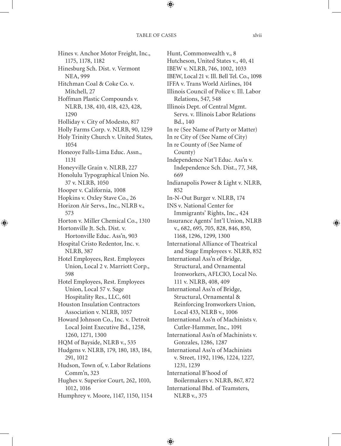Hines v. Anchor Motor Freight, Inc., 1175, 1178, 1182 Hinesburg Sch. Dist. v. Vermont NEA, 999 Hitchman Coal & Coke Co. v. Mitchell, 27 Hoffman Plastic Compounds v. NLRB, 138, 410, 418, 423, 428, 1290 Holliday v. City of Modesto, 817 Holly Farms Corp. v. NLRB, 90, 1259 Holy Trinity Church v. United States, 1054 Honeoye Falls-Lima Educ. Assn., 1131 Honeyville Grain v. NLRB, 227 Honolulu Typographical Union No. 37 v. NLRB, 1050 Hooper v. California, 1008 Hopkins v. Oxley Stave Co., 26 Horizon Air Servs., Inc., NLRB v., 573 Horton v. Miller Chemical Co., 1310 Hortonville Jt. Sch. Dist. v. Hortonville Educ. Ass'n, 903 Hospital Cristo Redentor, Inc. v. NLRB, 387 Hotel Employees, Rest. Employees Union, Local 2 v. Marriott Corp., 598 Hotel Employees, Rest. Employees Union, Local 57 v. Sage Hospitality Res., LLC, 601 Houston Insulation Contractors Association v. NLRB, 1057 Howard Johnson Co., Inc. v. Detroit Local Joint Executive Bd., 1258, 1260, 1271, 1300 HQM of Bayside, NLRB v., 535 Hudgens v. NLRB, 179, 180, 183, 184, 291, 1012 Hudson, Town of, v. Labor Relations Comm'n, 323 Hughes v. Superior Court, 262, 1010, 1012, 1016 Humphrey v. Moore, 1147, 1150, 1154

Hunt, Commonwealth v., 8 Hutcheson, United States v., 40, 41 IBEW v. NLRB, 746, 1002, 1033 IBEW, Local 21 v. Ill. Bell Tel. Co., 1098 IFFA v. Trans World Airlines, 104 Illinois Council of Police v. Ill. Labor Relations, 547, 548 Illinois Dept. of Central Mgmt. Servs. v. Illinois Labor Relations Bd., 140 In re (See Name of Party or Matter) In re City of (See Name of City) In re County of (See Name of County) Independence Nat'l Educ. Ass'n v. Independence Sch. Dist., 77, 348, 669 Indianapolis Power & Light v. NLRB, 852 In-N-Out Burger v. NLRB, 174 INS v. National Center for Immigrants' Rights, Inc., 424 Insurance Agents' Int'l Union, NLRB v., 682, 695, 705, 828, 846, 850, 1168, 1296, 1299, 1300 International Alliance of Theatrical and Stage Employees v. NLRB, 852 International Ass'n of Bridge, Structural, and Ornamental Ironworkers, AFLCIO, Local No. 111 v. NLRB, 408, 409 International Ass'n of Bridge, Structural, Ornamental & Reinforcing Ironworkers Union, Local 433, NLRB v., 1006 International Ass'n of Machinists v. Cutler-Hammer, Inc., 1091 International Ass'n of Machinists v. Gonzales, 1286, 1287 International Ass'n of Machinists v. Street, 1192, 1196, 1224, 1227, 1231, 1239 International B'hood of Boilermakers v. NLRB, 867, 872 International Bhd. of Teamsters, NLRB v., 375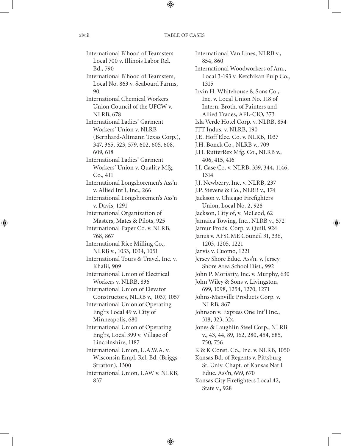International B'hood of Teamsters Local 700 v. Illinois Labor Rel. Bd., 790 International B'hood of Teamsters, Local No. 863 v. Seaboard Farms, 90 International Chemical Workers Union Council of the UFCW v. NLRB, 678 International Ladies' Garment Workers' Union v. NLRB (Bernhard-Altmann Texas Corp.), 347, 365, 523, 579, 602, 605, 608, 609, 618 International Ladies' Garment Workers' Union v. Quality Mfg. Co., 411 International Longshoremen's Ass'n v. Allied Int'l, Inc., 266 International Longshoremen's Ass'n v. Davis, 1291 International Organization of Masters, Mates & Pilots, 925 International Paper Co. v. NLRB, 768, 867 International Rice Milling Co., NLRB v., 1033, 1034, 1051 International Tours & Travel, Inc. v. Khalil, 909 International Union of Electrical Workers v. NLRB, 836 International Union of Elevator Constructors, NLRB v., 1037, 1057 International Union of Operating Eng'rs Local 49 v. City of Minneapolis, 680 International Union of Operating Eng'rs, Local 399 v. Village of Lincolnshire, 1187 International Union, U.A.W.A. v. Wisconsin Empl. Rel. Bd. (Briggs-Stratton), 1300 International Union, UAW v. NLRB, 837

International Van Lines, NLRB v., 854, 860 International Woodworkers of Am., Local 3-193 v. Ketchikan Pulp Co., 1315 Irvin H. Whitehouse & Sons Co., Inc. v. Local Union No. 118 of Intern. Broth. of Painters and Allied Trades, AFL-CIO, 373 Isla Verde Hotel Corp. v. NLRB, 854 ITT Indus. v. NLRB, 190 J.E. Hoff Elec. Co. v. NLRB, 1037 J.H. Bonck Co., NLRB v., 709 J.H. RutterRex Mfg. Co., NLRB v., 406, 415, 416 J.I. Case Co. v. NLRB, 339, 344, 1146, 1314 J.J. Newberry, Inc. v. NLRB, 237 J.P. Stevens & Co., NLRB v., 174 Jackson v. Chicago Firefighters Union, Local No. 2, 928 Jackson, City of, v. McLeod, 62 Jamaica Towing, Inc., NLRB v., 572 Jamur Prods. Corp. v. Quill, 924 Janus v. AFSCME Council 31, 336, 1203, 1205, 1221 Jarvis v. Cuomo, 1221 Jersey Shore Educ. Ass'n. v. Jersey Shore Area School Dist., 992 John P. Moriarty, Inc. v. Murphy, 630 John Wiley & Sons v. Livingston, 699, 1098, 1254, 1270, 1271 Johns-Manville Products Corp. v. NLRB, 867 Johnson v. Express One Int'l Inc., 318, 323, 324 Jones & Laughlin Steel Corp., NLRB v., 43, 44, 89, 162, 280, 454, 685, 750, 756 K & K Const. Co., Inc. v. NLRB, 1050 Kansas Bd. of Regents v. Pittsburg St. Univ. Chapt. of Kansas Nat'l Educ. Ass'n, 669, 670 Kansas City Firefighters Local 42, State v., 928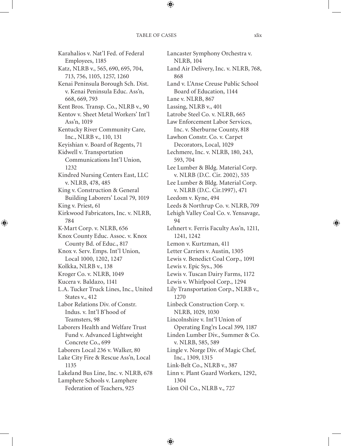Karahalios v. Nat'l Fed. of Federal Employees, 1185 Katz, NLRB v., 565, 690, 695, 704, 713, 756, 1105, 1257, 1260 Kenai Peninsula Borough Sch. Dist. v. Kenai Peninsula Educ. Ass'n, 668, 669, 793 Kent Bros. Transp. Co., NLRB v., 90 Kentov v. Sheet Metal Workers' Int'l Ass'n, 1019 Kentucky River Community Care, Inc., NLRB v., 110, 131 Keyishian v. Board of Regents, 71 Kidwell v. Transportation Communications Int'l Union, 1232 Kindred Nursing Centers East, LLC v. NLRB, 478, 485 King v. Construction & General Building Laborers' Local 79, 1019 King v. Priest, 61 Kirkwood Fabricators, Inc. v. NLRB, 784 K-Mart Corp. v. NLRB, 656 Knox County Educ. Assoc. v. Knox County Bd. of Educ., 817 Knox v. Serv. Emps. Int'l Union, Local 1000, 1202, 1247 Kolkka, NLRB v., 138 Kroger Co. v. NLRB, 1049 Kucera v. Baldazo, 1141 L.A. Tucker Truck Lines, Inc., United States v., 412 Labor Relations Div. of Constr. Indus. v. Int'l B'hood of Teamsters, 98 Laborers Health and Welfare Trust Fund v. Advanced Lightweight Concrete Co., 699 Laborers Local 236 v. Walker, 80 Lake City Fire & Rescue Ass'n, Local 1135 Lakeland Bus Line, Inc. v. NLRB, 678 Lamphere Schools v. Lamphere Federation of Teachers, 925

Lancaster Symphony Orchestra v. NLRB, 104 Land Air Delivery, Inc. v. NLRB, 768, 868 Land v. L'Anse Creuse Public School Board of Education, 1144 Lane v. NLRB, 867 Lassing, NLRB v., 401 Latrobe Steel Co. v. NLRB, 665 Law Enforcement Labor Services, Inc. v. Sherburne County, 818 Lawhon Constr. Co. v. Carpet Decorators, Local, 1029 Lechmere, Inc. v. NLRB, 180, 243, 593, 704 Lee Lumber & Bldg. Material Corp. v. NLRB (D.C. Cir. 2002), 535 Lee Lumber & Bldg. Material Corp. v. NLRB (D.C. Cir.1997), 471 Leedom v. Kyne, 494 Leeds & Northrup Co. v. NLRB, 709 Lehigh Valley Coal Co. v. Yensavage, 94 Lehnert v. Ferris Faculty Ass'n, 1211, 1241, 1242 Lemon v. Kurtzman, 411 Letter Carriers v. Austin, 1305 Lewis v. Benedict Coal Corp., 1091 Lewis v. Epic Sys., 306 Lewis v. Tuscan Dairy Farms, 1172 Lewis v. Whirlpool Corp., 1294 Lily Transportation Corp., NLRB v., 1270 Linbeck Construction Corp. v. NLRB, 1029, 1030 Lincolnshire v. Int'l Union of Operating Eng'rs Local 399, 1187 Linden Lumber Div., Summer & Co. v. NLRB, 585, 589 Lingle v. Norge Div. of Magic Chef, Inc., 1309, 1315 Link-Belt Co., NLRB v., 387 Linn v. Plant Guard Workers, 1292, 1304

Lion Oil Co., NLRB v., 727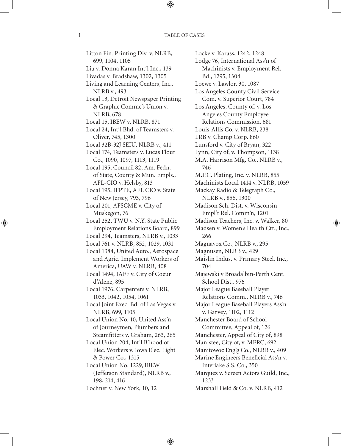Litton Fin. Printing Div. v. NLRB, 699, 1104, 1105 Liu v. Donna Karan Int'l Inc., 139 Livadas v. Bradshaw, 1302, 1305 Living and Learning Centers, Inc., NLRB v., 493 Local 13, Detroit Newspaper Printing & Graphic Commc's Union v. NLRB, 678 Local 15, IBEW v. NLRB, 871 Local 24, Int'l Bhd. of Teamsters v. Oliver, 745, 1300 Local 32B-32J SEIU, NLRB v., 411 Local 174, Teamsters v. Lucas Flour Co., 1090, 1097, 1113, 1119 Local 195, Council 82, Am. Fedn. of State, County & Mun. Empls., AFL-CIO v. Helsby, 813 Local 195, IFPTE, AFL CIO v. State of New Jersey, 793, 796 Local 201, AFSCME v. City of Muskegon, 76 Local 252, TWU v. N.Y. State Public Employment Relations Board, 899 Local 294, Teamsters, NLRB v., 1033 Local 761 v. NLRB, 852, 1029, 1031 Local 1384, United Auto., Aerospace and Agric. Implement Workers of America, UAW v. NLRB, 408 Local 1494, IAFF v. City of Coeur d'Alene, 895 Local 1976, Carpenters v. NLRB, 1033, 1042, 1054, 1061 Local Joint Exec. Bd. of Las Vegas v. NLRB, 699, 1105 Local Union No. 10, United Ass'n of Journeymen, Plumbers and Steamfitters v. Graham, 263, 265 Local Union 204, Int'l B'hood of Elec. Workers v. Iowa Elec. Light & Power Co., 1315 Local Union No. 1229, IBEW (Jefferson Standard), NLRB v., 198, 214, 416 Lochner v. New York, 10, 12

Locke v. Karass, 1242, 1248 Lodge 76, International Ass'n of Machinists v. Employment Rel. Bd., 1295, 1304 Loewe v. Lawlor, 30, 1087 Los Angeles County Civil Service Com. v. Superior Court, 784 Los Angeles, County of, v. Los Angeles County Employee Relations Commission, 681 Louis-Allis Co. v. NLRB, 238 LRB v. Champ Corp. 860 Lunsford v. City of Bryan, 322 Lynn, City of, v. Thompson, 1138 M.A. Harrison Mfg. Co., NLRB v., 746 M.P.C. Plating, Inc. v. NLRB, 855 Machinists Local 1414 v. NLRB, 1059 Mackay Radio & Telegraph Co., NLRB v., 856, 1300 Madison Sch. Dist. v. Wisconsin Empl't Rel. Comm'n, 1201 Madison Teachers, Inc. v. Walker, 80 Madsen v. Women's Health Ctr., Inc., 266 Magnavox Co., NLRB v., 295 Magnusen, NLRB v., 429 Maislin Indus. v. Primary Steel, Inc., 704 Majewski v Broadalbin-Perth Cent. School Dist., 976 Major League Baseball Player Relations Comm., NLRB v., 746 Major League Baseball Players Ass'n v. Garvey, 1102, 1112 Manchester Board of School Committee, Appeal of, 126 Manchester, Appeal of City of, 898 Manistee, City of, v. MERC, 692 Manitowoc Eng'g Co., NLRB v., 409 Marine Engineers Beneficial Ass'n v. Interlake S.S. Co., 350 Marquez v. Screen Actors Guild, Inc., 1233 Marshall Field & Co. v. NLRB, 412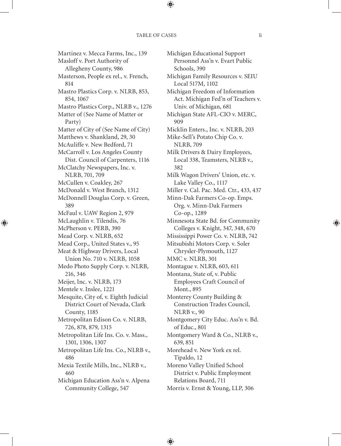Martinez v. Mecca Farms, Inc., 139 Masloff v. Port Authority of Allegheny County, 986 Masterson, People ex rel., v. French, 814 Mastro Plastics Corp. v. NLRB, 853, 854, 1067 Mastro Plastics Corp., NLRB v., 1276 Matter of (See Name of Matter or Party) Matter of City of (See Name of City) Matthews v. Shankland, 29, 30 McAuliffe v. New Bedford, 71 McCarroll v. Los Angeles County Dist. Council of Carpenters, 1116 McClatchy Newspapers, Inc. v. NLRB, 701, 709 McCullen v. Coakley, 267 McDonald v. West Branch, 1312 McDonnell Douglas Corp. v. Green, 389 McFaul v. UAW Region 2, 979 McLaughlin v. Tilendis, 76 McPherson v. PERB, 390 Mead Corp. v. NLRB, 652 Mead Corp., United States v., 95 Meat & Highway Drivers, Local Union No. 710 v. NLRB, 1058 Medo Photo Supply Corp. v. NLRB, 216, 346 Meijer, Inc. v. NLRB, 173 Mentele v. Inslee, 1221 Mesquite, City of, v. Eighth Judicial District Court of Nevada, Clark County, 1185 Metropolitan Edison Co. v. NLRB, 726, 878, 879, 1315 Metropolitan Life Ins. Co. v. Mass., 1301, 1306, 1307 Metropolitan Life Ins. Co., NLRB v., 486 Mexia Textile Mills, Inc., NLRB v., 460 Michigan Education Ass'n v. Alpena Community College, 547

Michigan Educational Support Personnel Ass'n v. Evart Public Schools, 390 Michigan Family Resources v. SEIU Local 517M, 1102 Michigan Freedom of Information Act. Michigan Fed'n of Teachers v. Univ. of Michigan, 681 Michigan State AFL-CIO v. MERC, 909 Micklin Enters., Inc. v. NLRB, 203 Mike-Sell's Potato Chip Co. v. NLRB, 709 Milk Drivers & Dairy Employees, Local 338, Teamsters, NLRB v., 382 Milk Wagon Drivers' Union, etc. v. Lake Valley Co., 1117 Miller v. Cal. Pac. Med. Ctr., 433, 437 Minn-Dak Farmers Co-op. Emps. Org. v. Minn-Dak Farmers Co-op., 1289 Minnesota State Bd. for Community Colleges v. Knight, 347, 348, 670 Mississippi Power Co. v. NLRB, 742 Mitsubishi Motors Corp. v. Soler Chrysler-Plymouth, 1127 MMC v. NLRB, 301 Montague v. NLRB, 603, 611 Montana, State of, v. Public Employees Craft Council of Mont., 895 Monterey County Building & Construction Trades Council, NLRB v., 90 Montgomery City Educ. Ass'n v. Bd. of Educ., 801 Montgomery Ward & Co., NLRB v., 639, 851 Morehead v. New York ex rel. Tipaldo, 12 Moreno Valley Unified School District v. Public Employment Relations Board, 711 Morris v. Ernst & Young, LLP, 306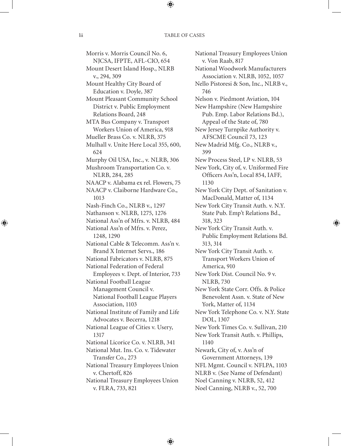Morris v. Morris Council No. 6, NJCSA, IFPTE, AFL-CIO, 654 Mount Desert Island Hosp., NLRB v., 294, 309 Mount Healthy City Board of Education v. Doyle, 387 Mount Pleasant Community School District v. Public Employment Relations Board, 248 MTA Bus Company v. Transport Workers Union of America, 918 Mueller Brass Co. v. NLRB, 375 Mulhall v. Unite Here Local 355, 600, 624 Murphy Oil USA, Inc., v. NLRB, 306 Mushroom Transportation Co. v. NLRB, 284, 285 NAACP v. Alabama ex rel. Flowers, 75 NAACP v. Claiborne Hardware Co., 1013 Nash-Finch Co., NLRB v., 1297 Nathanson v. NLRB, 1275, 1276 National Ass'n of Mfrs. v. NLRB, 484 National Ass'n of Mfrs. v. Perez, 1248, 1290 National Cable & Telecomm. Ass'n v. Brand X Internet Servs., 186 National Fabricators v. NLRB, 875 National Federation of Federal Employees v. Dept. of Interior, 733 National Football League Management Council v. National Football League Players Association, 1103 National Institute of Family and Life Advocates v. Becerra, 1218 National League of Cities v. Usery, 1317 National Licorice Co. v. NLRB, 341 National Mut. Ins. Co. v. Tidewater Transfer Co., 273 National Treasury Employees Union v. Chertoff, 826 National Treasury Employees Union v. FLRA, 733, 821

National Treasury Employees Union v. Von Raab, 817 National Woodwork Manufacturers Association v. NLRB, 1052, 1057 Nello Pistoresi & Son, Inc., NLRB v., 746 Nelson v. Piedmont Aviation, 104 New Hampshire (New Hampshire Pub. Emp. Labor Relations Bd.), Appeal of the State of, 780 New Jersey Turnpike Authority v. AFSCME Council 73, 123 New Madrid Mfg. Co., NLRB v., 399 New Process Steel, LP v. NLRB, 53 New York, City of, v. Uniformed Fire Officers Ass'n, Local 854, IAFF, 1130 New York City Dept. of Sanitation v. MacDonald, Matter of, 1134 New York City Transit Auth. v. N.Y. State Pub. Emp't Relations Bd., 318, 323 New York City Transit Auth. v. Public Employment Relations Bd. 313, 314 New York City Transit Auth. v. Transport Workers Union of America, 910 New York Dist. Council No. 9 v. NLRB, 730 New York State Corr. Offs. & Police Benevolent Assn. v. State of New York, Matter of, 1134 New York Telephone Co. v. N.Y. State DOL, 1307 New York Times Co. v. Sullivan, 210 New York Transit Auth. v. Phillips, 1140 Newark, City of, v. Ass'n of Government Attorneys, 139 NFL Mgmt. Council v. NFLPA, 1103 NLRB v. (See Name of Defendant) Noel Canning v. NLRB, 52, 412 Noel Canning, NLRB v., 52, 700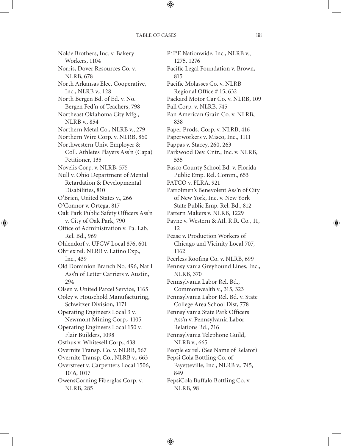Nolde Brothers, Inc. v. Bakery Workers, 1104 Norris, Dover Resources Co. v. NLRB, 678 North Arkansas Elec. Cooperative, Inc., NLRB v., 128 North Bergen Bd. of Ed. v. No. Bergen Fed'n of Teachers, 798 Northeast Oklahoma City Mfg., NLRB v., 854 Northern Metal Co., NLRB v., 279 Northern Wire Corp. v. NLRB, 860 Northwestern Univ. Employer & Coll. Athletes Players Ass'n (Capa) Petitioner, 135 Novelis Corp. v. NLRB, 575 Null v. Ohio Department of Mental Retardation & Developmental Disabilities, 810 O'Brien, United States v., 266 O'Connor v. Ortega, 817 Oak Park Public Safety Officers Ass'n v. City of Oak Park, 790 Office of Administration v. Pa. Lab. Rel. Bd., 969 Ohlendorf v. UFCW Local 876, 601 Ohr ex rel. NLRB v. Latino Exp., Inc., 439 Old Dominion Branch No. 496, Nat'l Ass'n of Letter Carriers v. Austin, 294 Olsen v. United Parcel Service, 1165 Ooley v. Household Manufacturing, Schwitzer Division, 1171 Operating Engineers Local 3 v. Newmont Mining Corp., 1105 Operating Engineers Local 150 v. Flair Builders, 1098 Osthus v. Whitesell Corp., 438 Overnite Transp. Co. v. NLRB, 567 Overnite Transp. Co., NLRB v., 663 Overstreet v. Carpenters Local 1506, 1016, 1017 OwensCorning Fiberglas Corp. v. NLRB, 285

P\*I\*E Nationwide, Inc., NLRB v., 1275, 1276 Pacific Legal Foundation v. Brown, 815 Pacific Molasses Co. v. NLRB Regional Office # 15, 632 Packard Motor Car Co. v. NLRB, 109 Pall Corp. v. NLRB, 745 Pan American Grain Co. v. NLRB, 838 Paper Prods. Corp. v. NLRB, 416 Paperworkers v. Misco, Inc., 1111 Pappas v. Stacey, 260, 263 Parkwood Dev. Cntr., Inc. v. NLRB, 535 Pasco County School Bd. v. Florida Public Emp. Rel. Comm., 653 PATCO v. FLRA, 921 Patrolmen's Benevolent Ass'n of City of New York, Inc. v. New York State Public Emp. Rel. Bd., 812 Pattern Makers v. NLRB, 1229 Payne v. Western & Atl. R.R. Co., 11, 12 Pease v. Production Workers of Chicago and Vicinity Local 707, 1162 Peerless Roofing Co. v. NLRB, 699 Pennsylvania Greyhound Lines, Inc., NLRB, 370 Pennsylvania Labor Rel. Bd., Commonwealth v., 315, 323 Pennsylvania Labor Rel. Bd. v. State College Area School Dist, 778 Pennsylvania State Park Officers Ass'n v. Pennsylvania Labor Relations Bd., 716 Pennsylvania Telephone Guild, NLRB v., 665 People ex rel. (See Name of Relator) Pepsi Cola Bottling Co. of Fayetteville, Inc., NLRB v., 745, 849 PepsiCola Buffalo Bottling Co. v. NLRB, 98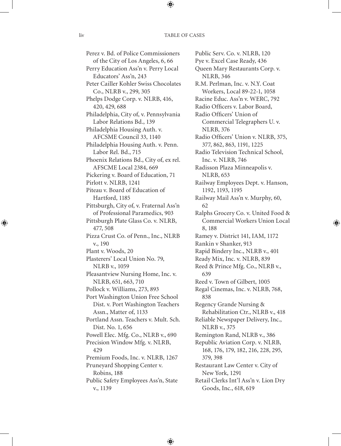Perez v. Bd. of Police Commissioners of the City of Los Angeles, 6, 66 Perry Education Ass'n v. Perry Local Educators' Ass'n, 243 Peter Cailler Kohler Swiss Chocolates Co., NLRB v., 299, 305 Phelps Dodge Corp. v. NLRB, 416, 420, 429, 688 Philadelphia, City of, v. Pennsylvania Labor Relations Bd., 139 Philadelphia Housing Auth. v. AFCSME Council 33, 1140 Philadelphia Housing Auth. v. Penn. Labor Rel. Bd., 715 Phoenix Relations Bd., City of, ex rel. AFSCME Local 2384, 669 Pickering v. Board of Education, 71 Pirlott v. NLRB, 1241 Piteau v. Board of Education of Hartford, 1185 Pittsburgh, City of, v. Fraternal Ass'n of Professional Paramedics, 903 Pittsburgh Plate Glass Co. v. NLRB, 477, 508 Pizza Crust Co. of Penn., Inc., NLRB v., 190 Plant v. Woods, 20 Plasterers' Local Union No. 79, NLRB v., 1059 Pleasantview Nursing Home, Inc. v. NLRB, 651, 663, 710 Pollock v. Williams, 273, 893 Port Washington Union Free School Dist. v. Port Washington Teachers Assn., Matter of, 1133 Portland Assn. Teachers v. Mult. Sch. Dist. No. 1, 656 Powell Elec. Mfg. Co., NLRB v., 690 Precision Window Mfg. v. NLRB, 429 Premium Foods, Inc. v. NLRB, 1267 Pruneyard Shopping Center v. Robins, 188 Public Safety Employees Ass'n, State v., 1139

Public Serv. Co. v. NLRB, 120 Pye v. Excel Case Ready, 436 Queen Mary Restaurants Corp. v. NLRB, 346 R.M. Perlman, Inc. v. N.Y. Coat Workers, Local 89-22-1, 1058 Racine Educ. Ass'n v. WERC, 792 Radio Officers v. Labor Board, Radio Officers' Union of Commercial Telegraphers U. v. NLRB, 376 Radio Officers' Union v. NLRB, 375, 377, 862, 863, 1191, 1225 Radio Television Technical School, Inc. v. NLRB, 746 Radisson Plaza Minneapolis v. NLRB, 653 Railway Employees Dept. v. Hanson, 1192, 1193, 1195 Railway Mail Ass'n v. Murphy, 60, 62 Ralphs Grocery Co. v. United Food & Commercial Workers Union Local 8, 188 Ramey v. District 141, IAM, 1172 Rankin v Shanker, 913 Rapid Bindery Inc., NLRB v., 401 Ready Mix, Inc. v. NLRB, 839 Reed & Prince Mfg. Co., NLRB v., 639 Reed v. Town of Gilbert, 1005 Regal Cinemas, Inc. v. NLRB, 768, 838 Regency Grande Nursing & Rehabilitation Ctr., NLRB v., 418 Reliable Newspaper Delivery, Inc., NLRB v., 375 Remington Rand, NLRB v., 386 Republic Aviation Corp. v. NLRB, 168, 176, 179, 182, 216, 228, 295, 379, 398 Restaurant Law Center v. City of New York, 1291 Retail Clerks Int'l Ass'n v. Lion Dry Goods, Inc., 618, 619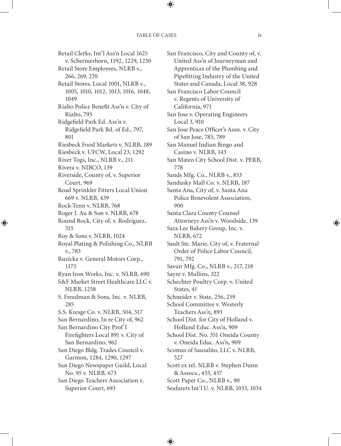Retail Clerks, Int'l Ass'n Local 1625 v. Schermerhorn, 1192, 1229, 1230 Retail Store Employees, NLRB v., 266, 269, 270 Retail Stores, Local 1001, NLRB v., 1005, 1010, 1012, 1013, 1016, 1048, 1049 Rialto Police Benefit Ass'n v. City of Rialto, 795 Ridgefield Park Ed. Ass'n v. Ridgefield Park Bd. of Ed., 797, 801 Riesbeck Food Markets v. NLRB, 189 Riesbeck v. UFCW, Local 23, 1292 River Togs, Inc., NLRB v., 211 Rivera v. NIBCO, 139 Riverside, County of, v. Superior Court, 969 Road Sprinkler Fitters Local Union 669 v. NLRB, 439 Rock-Tenn v. NLRB, 768 Roger J. Au & Son v. NLRB, 678 Round Rock, City of, v. Rodriguez, 315 Roy & Sons v. NLRB, 1024 Royal Plating & Polishing Co., NLRB v., 783 Ruzicka v. General Motors Corp., 1173 Ryan Iron Works, Inc. v. NLRB, 690 S&F Market Street Healthcare LLC v. NLRB, 1258 S. Freedman & Sons, Inc. v. NLRB, 285 S.S. Kresge Co. v. NLRB, 504, 517 San Bernardino, In re City of, 962 San Bernardino City Prof'l Firefighters Local 891 v. City of San Bernardino, 962 San Diego Bldg. Trades Council v. Garmon, 1284, 1290, 1297 San Diego Newspaper Guild, Local No. 95 v. NLRB, 673 San Diego Teachers Association v. Superior Court, 693

San Francisco, City and County of, v. United Ass'n of Journeyman and Apprentices of the Plumbing and Pipefitting Industry of the United States and Canada, Local 38, 928 San Francisco Labor Council v. Regents of University of California, 971 San Jose v. Operating Engineers Local 3, 910 San Jose Peace Officer's Assn. v. City of San Jose, 783, 789 San Manuel Indian Bingo and Casino v. NLRB, 143 San Mateo City School Dist. v. PERB, 778 Sands Mfg. Co., NLRB v., 853 Sandusky Mall Co. v. NLRB, 187 Santa Ana, City of, v. Santa Ana Police Benevolent Association, 900 Santa Clara County Counsel Attorneys Ass'n v. Woodside, 139 Sara Lee Bakery Group, Inc. v. NLRB, 672 Sault Ste. Marie, City of, v. Fraternal Order of Police Labor Council, 791, 792 Savair Mfg. Co., NLRB v., 217, 218 Sayre v. Mullins, 322 Schechter Poultry Corp. v. United States, 41 Schneider v. State, 256, 259 School Committee v. Westerly Teachers Ass'n, 893 School Dist. for City of Holland v. Holland Educ. Ass'n, 909 School Dist. No. 351 Oneida County v. Oneida Educ. Ass'n, 909 Scomas of Sausalito, LLC v. NLRB, 527 Scott ex rel. NLRB v. Stephen Dunn & Assocs., 435, 437 Scott Paper Co., NLRB v., 90 Seafarers Int'l U. v. NLRB, 1033, 1034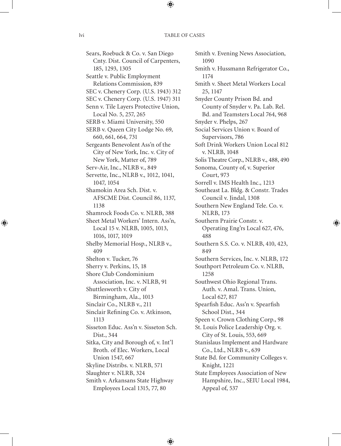Sears, Roebuck & Co. v. San Diego Cnty. Dist. Council of Carpenters, 185, 1293, 1305 Seattle v. Public Employment Relations Commission, 839 SEC v. Chenery Corp. (U.S. 1943) 312 SEC v. Chenery Corp. (U.S. 1947) 311 Senn v. Tile Layers Protective Union, Local No. 5, 257, 265 SERB v. Miami University, 550 SERB v. Queen City Lodge No. 69, 660, 661, 664, 731 Sergeants Benevolent Ass'n of the City of New York, Inc. v. City of New York, Matter of, 789 Serv-Air, Inc., NLRB v., 849 Servette, Inc., NLRB v., 1012, 1041, 1047, 1054 Shamokin Area Sch. Dist. v. AFSCME Dist. Council 86, 1137, 1138 Shamrock Foods Co. v. NLRB, 388 Sheet Metal Workers' Intern. Ass'n, Local 15 v. NLRB, 1005, 1013, 1016, 1017, 1019 Shelby Memorial Hosp., NLRB v., 409 Shelton v. Tucker, 76 Sherry v. Perkins, 15, 18 Shore Club Condominium Association, Inc. v. NLRB, 91 Shuttlesworth v. City of Birmingham, Ala., 1013 Sinclair Co., NLRB v., 211 Sinclair Refining Co. v. Atkinson, 1113 Sisseton Educ. Ass'n v. Sisseton Sch. Dist., 344 Sitka, City and Borough of, v. Int'l Broth. of Elec. Workers, Local Union 1547, 667 Skyline Distribs. v. NLRB, 571 Slaughter v. NLRB, 324 Smith v. Arkansans State Highway Employees Local 1315, 77, 80

Smith v. Evening News Association, 1090 Smith v. Hussmann Refrigerator Co., 1174 Smith v. Sheet Metal Workers Local 25, 1147 Snyder County Prison Bd. and County of Snyder v. Pa. Lab. Rel. Bd. and Teamsters Local 764, 968 Snyder v. Phelps, 267 Social Services Union v. Board of Supervisors, 786 Soft Drink Workers Union Local 812 v. NLRB, 1048 Solis Theatre Corp., NLRB v., 488, 490 Sonoma, County of, v. Superior Court, 973 Sorrell v. IMS Health Inc., 1213 Southeast La. Bldg. & Constr. Trades Council v. Jindal, 1308 Southern New England Tele. Co. v. NLRB, 173 Southern Prairie Constr. v. Operating Eng'rs Local 627, 476, 488 Southern S.S. Co. v. NLRB, 410, 423, 849 Southern Services, Inc. v. NLRB, 172 Southport Petroleum Co. v. NLRB, 1258 Southwest Ohio Regional Trans. Auth. v. Amal. Trans. Union, Local 627, 817 Spearfish Educ. Ass'n v. Spearfish School Dist., 344 Speen v. Crown Clothing Corp., 98 St. Louis Police Leadership Org. v. City of St. Louis, 553, 669 Stanislaus Implement and Hardware Co., Ltd., NLRB v., 639 State Bd. for Community Colleges v. Knight, 1221 State Employees Association of New Hampshire, Inc., SEIU Local 1984, Appeal of, 537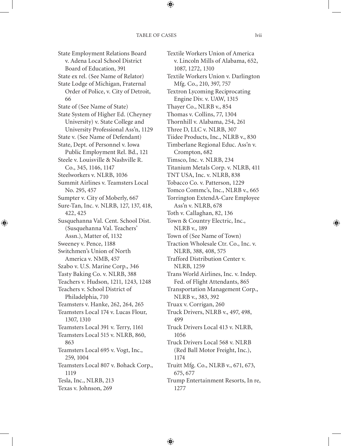State Employment Relations Board v. Adena Local School District Board of Education, 391 State ex rel. (See Name of Relator) State Lodge of Michigan, Fraternal Order of Police, v. City of Detroit, 66 State of (See Name of State) State System of Higher Ed. (Cheyney University) v. State College and University Professional Ass'n, 1129 State v. (See Name of Defendant) State, Dept. of Personnel v. Iowa Public Employment Rel. Bd., 121 Steele v. Louisville & Nashville R. Co., 345, 1146, 1147 Steelworkers v. NLRB, 1036 Summit Airlines v. Teamsters Local No. 295, 457 Sumpter v. City of Moberly, 667 Sure-Tan, Inc. v. NLRB, 127, 137, 418, 422, 425 Susquehanna Val. Cent. School Dist. (Susquehanna Val. Teachers' Assn.), Matter of, 1132 Sweeney v. Pence, 1188 Switchmen's Union of North America v. NMB, 457 Szabo v. U.S. Marine Corp., 346 Tasty Baking Co. v. NLRB, 388 Teachers v. Hudson, 1211, 1243, 1248 Teachers v. School District of Philadelphia, 710 Teamsters v. Hanke, 262, 264, 265 Teamsters Local 174 v. Lucas Flour, 1307, 1310 Teamsters Local 391 v. Terry, 1161 Teamsters Local 515 v. NLRB, 860, 863 Teamsters Local 695 v. Vogt, Inc., 259, 1004 Teamsters Local 807 v. Bohack Corp., 1119 Tesla, Inc., NLRB, 213 Texas v. Johnson, 269

Textile Workers Union of America v. Lincoln Mills of Alabama, 652, 1087, 1272, 1310 Textile Workers Union v. Darlington Mfg. Co., 210, 397, 757 Textron Lycoming Reciprocating Engine Div. v. UAW, 1315 Thayer Co., NLRB v., 854 Thomas v. Collins, 77, 1304 Thornhill v. Alabama, 254, 261 Three D, LLC v. NLRB, 307 Tiidee Products, Inc., NLRB v., 830 Timberlane Regional Educ. Ass'n v. Crompton, 682 Timsco, Inc. v. NLRB, 234 Titanium Metals Corp. v. NLRB, 411 TNT USA, Inc. v. NLRB, 838 Tobacco Co. v. Patterson, 1229 Tomco Commc's, Inc., NLRB v., 665 Torrington ExtendA-Care Employee Ass'n v. NLRB, 678 Toth v. Callaghan, 82, 136 Town & Country Electric, Inc., NLRB v., 189 Town of (See Name of Town) Traction Wholesale Ctr. Co., Inc. v. NLRB, 388, 408, 575 Trafford Distribution Center v. NLRB, 1259 Trans World Airlines, Inc. v. Indep. Fed. of Flight Attendants, 865 Transportation Management Corp., NLRB v., 383, 392 Truax v. Corrigan, 260 Truck Drivers, NLRB v., 497, 498, 499 Truck Drivers Local 413 v. NLRB, 1056 Truck Drivers Local 568 v. NLRB (Red Ball Motor Freight, Inc.), 1174 Truitt Mfg. Co., NLRB v., 671, 673, 675, 677 Trump Entertainment Resorts, In re, 1277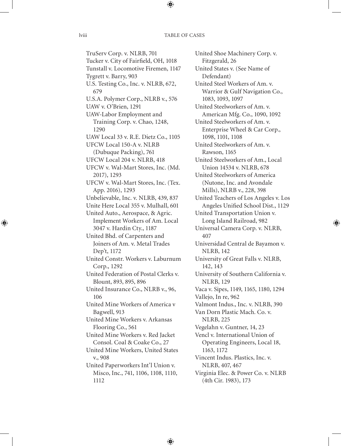TruServ Corp. v. NLRB, 701 Tucker v. City of Fairfield, OH, 1018 Tunstall v. Locomotive Firemen, 1147 Tygrett v. Barry, 903 U.S. Testing Co., Inc. v. NLRB, 672, 679 U.S.A. Polymer Corp., NLRB v., 576 UAW v. O'Brien, 1291 UAW-Labor Employment and Training Corp. v. Chao, 1248, 1290 UAW Local 33 v. R.E. Dietz Co., 1105 UFCW Local 150-A v. NLRB (Dubuque Packing), 761 UFCW Local 204 v. NLRB, 418 UFCW v. Wal-Mart Stores, Inc. (Md. 2017), 1293 UFCW v. Wal-Mart Stores, Inc. (Tex. App. 2016), 1293 Unbelievable, Inc. v. NLRB, 439, 837 Unite Here Local 355 v. Mulhall, 601 United Auto., Aerospace, & Agric. Implement Workers of Am. Local 3047 v. Hardin Cty., 1187 United Bhd. of Carpenters and Joiners of Am. v. Metal Trades Dep't, 1172 United Constr. Workers v. Laburnum Corp., 1292 United Federation of Postal Clerks v. Blount, 893, 895, 896 United Insurance Co., NLRB v., 96, 106 United Mine Workers of America v Bagwell, 913 United Mine Workers v. Arkansas Flooring Co., 561 United Mine Workers v. Red Jacket Consol. Coal & Coake Co., 27 United Mine Workers, United States v., 908 United Paperworkers Int'l Union v. Misco, Inc., 741, 1106, 1108, 1110, 1112

United Shoe Machinery Corp. v. Fitzgerald, 26 United States v. (See Name of Defendant) United Steel Workers of Am. v. Warrior & Gulf Navigation Co., 1083, 1093, 1097 United Steelworkers of Am. v. American Mfg. Co., 1090, 1092 United Steelworkers of Am. v. Enterprise Wheel & Car Corp., 1098, 1101, 1108 United Steelworkers of Am. v. Rawson, 1165 United Steelworkers of Am., Local Union 14534 v. NLRB, 678 United Steelworkers of America (Nutone, Inc. and Avondale Mills), NLRB v., 228, 398 United Teachers of Los Angeles v. Los Angeles Unified School Dist., 1129 United Transportation Union v. Long Island Railroad, 982 Universal Camera Corp. v. NLRB, 407 Universidad Central de Bayamon v. NLRB, 142 University of Great Falls v. NLRB, 142, 143 University of Southern California v. NLRB, 129 Vaca v. Sipes, 1149, 1165, 1180, 1294 Vallejo, In re, 962 Valmont Indus., Inc. v. NLRB, 390 Van Dorn Plastic Mach. Co. v. NLRB, 225 Vegelahn v. Guntner, 14, 23 Vencl v. International Union of Operating Engineers, Local 18, 1163, 1172 Vincent Indus. Plastics, Inc. v. NLRB, 407, 467 Virginia Elec. & Power Co. v. NLRB (4th Cir. 1983), 173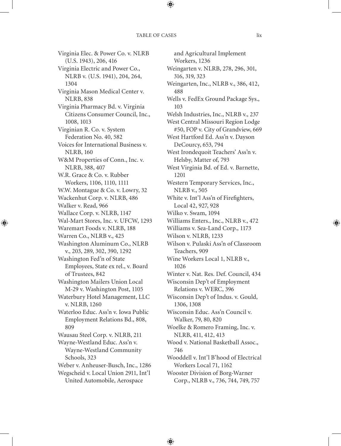Virginia Elec. & Power Co. v. NLRB (U.S. 1943), 206, 416 Virginia Electric and Power Co., NLRB v. (U.S. 1941), 204, 264, 1304 Virginia Mason Medical Center v. NLRB, 838 Virginia Pharmacy Bd. v. Virginia Citizens Consumer Council, Inc., 1008, 1013 Virginian R. Co. v. System Federation No. 40, 582 Voices for International Business v. NLRB, 160 W&M Properties of Conn., Inc. v. NLRB, 388, 407 W.R. Grace & Co. v. Rubber Workers, 1106, 1110, 1111 W.W. Montague & Co. v. Lowry, 32 Wackenhut Corp. v. NLRB, 486 Walker v. Read, 966 Wallace Corp. v. NLRB, 1147 Wal-Mart Stores, Inc. v. UFCW, 1293 Waremart Foods v. NLRB, 188 Warren Co., NLRB v., 425 Washington Aluminum Co., NLRB v., 203, 289, 302, 390, 1292 Washington Fed'n of State Employees, State ex rel., v. Board of Trustees, 842 Washington Mailers Union Local M-29 v. Washington Post, 1105 Waterbury Hotel Management, LLC v. NLRB, 1260 Waterloo Educ. Ass'n v. Iowa Public Employment Relations Bd., 808, 809 Wausau Steel Corp. v. NLRB, 211 Wayne-Westland Educ. Ass'n v. Wayne-Westland Community Schools, 323 Weber v. Anheuser-Busch, Inc., 1286 Wegscheid v. Local Union 2911, Int'l United Automobile, Aerospace

and Agricultural Implement Workers, 1236 Weingarten v. NLRB, 278, 296, 301, 316, 319, 323 Weingarten, Inc., NLRB v., 386, 412, 488 Wells v. FedEx Ground Package Sys., 103 Welsh Industries, Inc., NLRB v., 237 West Central Missouri Region Lodge #50, FOP v. City of Grandview, 669 West Hartford Ed. Ass'n v. Dayson DeCourcy, 653, 794 West Irondequoit Teachers' Ass'n v. Helsby, Matter of, 793 West Virginia Bd. of Ed. v. Barnette, 1201 Western Temporary Services, Inc., NLRB v., 505 White v. Int'l Ass'n of Firefighters, Local 42, 927, 928 Wilko v. Swam, 1094 Williams Enters., Inc., NLRB v., 472 Williams v. Sea-Land Corp., 1173 Wilson v. NLRB, 1233 Wilson v. Pulaski Ass'n of Classroom Teachers, 909 Wine Workers Local 1, NLRB v., 1026 Winter v. Nat. Res. Def. Council, 434 Wisconsin Dep't of Employment Relations v. WERC, 396 Wisconsin Dep't of Indus. v. Gould, 1306, 1308 Wisconsin Educ. Ass'n Council v. Walker, 79, 80, 820 Woelke & Romero Framing, Inc. v. NLRB, 411, 412, 413 Wood v. National Basketball Assoc., 746 Wooddell v. Int'l B'hood of Electrical Workers Local 71, 1162 Wooster Division of Borg-Warner Corp., NLRB v., 736, 744, 749, 757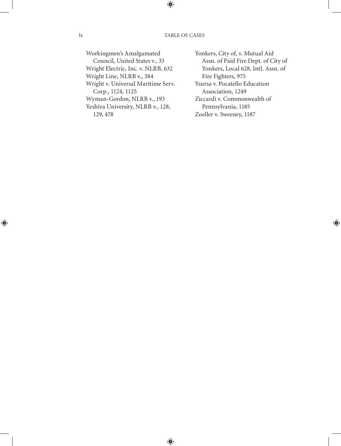Workingmen's Amalgamated Council, United States v., 33 Wright Electric, Inc. v. NLRB, 632 Wright Line, NLRB v., 384 Wright v. Universal Maritime Serv. Corp., 1124, 1125 Wyman-Gordon, NLRB v., 193 Yeshiva University, NLRB v., 128, 129, 478

Yonkers, City of, v. Mutual Aid Assn. of Paid Fire Dept. of City of Yonkers, Local 628, Intl. Assn. of Fire Fighters, 975 Ysursa v. Pocatello Education Association, 1249 Ziccardi v. Commonwealth of

Pennsylvania, 1185 Zoeller v. Sweeney, 1187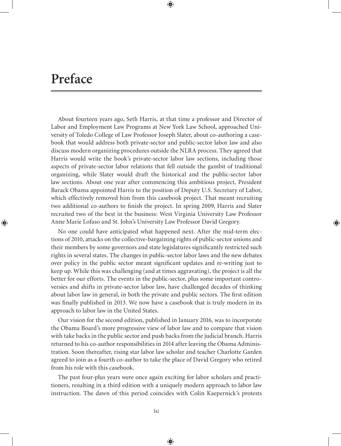# **Preface**

About fourteen years ago, Seth Harris, at that time a professor and Director of Labor and Employment Law Programs at New York Law School, approached University of Toledo College of Law Professor Joseph Slater, about co-authoring a casebook that would address both private-sector and public-sector labor law and also discuss modern organizing procedures outside the NLRA process. They agreed that Harris would write the book's private-sector labor law sections, including those aspects of private-sector labor relations that fell outside the gambit of traditional organizing, while Slater would draft the historical and the public-sector labor law sections. About one year after commencing this ambitious project, President Barack Obama appointed Harris to the position of Deputy U.S. Secretary of Labor, which effectively removed him from this casebook project. That meant recruiting two additional co-authors to finish the project. In spring 2009, Harris and Slater recruited two of the best in the business: West Virginia University Law Professor Anne Marie Lofaso and St. John's University Law Professor David Gregory.

No one could have anticipated what happened next. After the mid-term elections of 2010, attacks on the collective-bargaining rights of public-sector unions and their members by some governors and state legislatures significantly restricted such rights in several states. The changes in public-sector labor laws and the new debates over policy in the public sector meant significant updates and re-writing just to keep up. While this was challenging (and at times aggravating), the project is all the better for our efforts. The events in the public-sector, plus some important controversies and shifts in private-sector labor law, have challenged decades of thinking about labor law in general, in both the private and public sectors. The first edition was finally published in 2013. We now have a casebook that is truly modern in its approach to labor law in the United States.

Our vision for the second edition, published in January 2016, was to incorporate the Obama Board's more progressive view of labor law and to compare that vision with take backs in the public sector and push backs from the judicial branch. Harris returned to his co-author responsibilities in 2014 after leaving the Obama Administration. Soon thereafter, rising star labor law scholar and teacher Charlotte Garden agreed to join as a fourth co-author to take the place of David Gregory who retired from his role with this casebook.

The past four-plus years were once again exciting for labor scholars and practitioners, resulting in a third edition with a uniquely modern approach to labor law instruction. The dawn of this period coincides with Colin Kaepernick's protests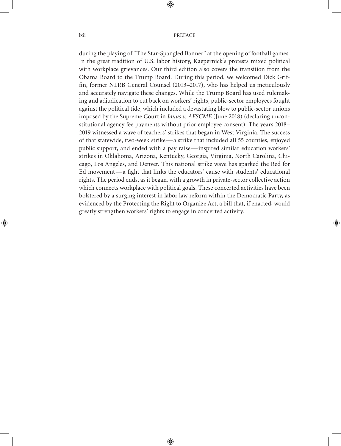during the playing of "The Star-Spangled Banner" at the opening of football games. In the great tradition of U.S. labor history, Kaepernick's protests mixed political with workplace grievances. Our third edition also covers the transition from the Obama Board to the Trump Board. During this period, we welcomed Dick Griffin, former NLRB General Counsel (2013–2017), who has helped us meticulously and accurately navigate these changes. While the Trump Board has used rulemaking and adjudication to cut back on workers' rights, public-sector employees fought against the political tide, which included a devastating blow to public-sector unions imposed by the Supreme Court in *Janus v. AFSCME* (June 2018) (declaring unconstitutional agency fee payments without prior employee consent). The years 2018– 2019 witnessed a wave of teachers' strikes that began in West Virginia. The success of that statewide, two-week strike— a strike that included all 55 counties, enjoyed public support, and ended with a pay raise— inspired similar education workers' strikes in Oklahoma, Arizona, Kentucky, Georgia, Virginia, North Carolina, Chicago, Los Angeles, and Denver. This national strike wave has sparked the Red for Ed movement— a fight that links the educators' cause with students' educational rights. The period ends, as it began, with a growth in private-sector collective action which connects workplace with political goals. These concerted activities have been bolstered by a surging interest in labor law reform within the Democratic Party, as evidenced by the Protecting the Right to Organize Act, a bill that, if enacted, would greatly strengthen workers' rights to engage in concerted activity.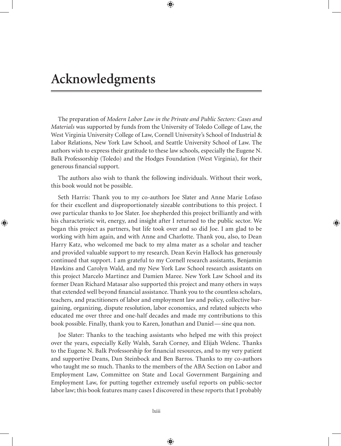The preparation of *Modern Labor Law in the Private and Public Sectors: Cases and Materials* was supported by funds from the University of Toledo College of Law, the West Virginia University College of Law, Cornell University's School of Industrial & Labor Relations, New York Law School, and Seattle University School of Law. The authors wish to express their gratitude to these law schools, especially the Eugene N. Balk Professorship (Toledo) and the Hodges Foundation (West Virginia), for their generous financial support.

The authors also wish to thank the following individuals. Without their work, this book would not be possible.

Seth Harris: Thank you to my co-authors Joe Slater and Anne Marie Lofaso for their excellent and disproportionately sizeable contributions to this project. I owe particular thanks to Joe Slater. Joe shepherded this project brilliantly and with his characteristic wit, energy, and insight after I returned to the public sector. We began this project as partners, but life took over and so did Joe. I am glad to be working with him again, and with Anne and Charlotte. Thank you, also, to Dean Harry Katz, who welcomed me back to my alma mater as a scholar and teacher and provided valuable support to my research. Dean Kevin Hallock has generously continued that support. I am grateful to my Cornell research assistants, Benjamin Hawkins and Carolyn Wald, and my New York Law School research assistants on this project Marcelo Martinez and Damien Maree. New York Law School and its former Dean Richard Matasar also supported this project and many others in ways that extended well beyond financial assistance. Thank you to the countless scholars, teachers, and practitioners of labor and employment law and policy, collective bargaining, organizing, dispute resolution, labor economics, and related subjects who educated me over three and one-half decades and made my contributions to this book possible. Finally, thank you to Karen, Jonathan and Daniel— sine qua non.

Joe Slater: Thanks to the teaching assistants who helped me with this project over the years, especially Kelly Walsh, Sarah Corney, and Elijah Welenc. Thanks to the Eugene N. Balk Professorship for financial resources, and to my very patient and supportive Deans, Dan Steinbock and Ben Barros. Thanks to my co-authors who taught me so much. Thanks to the members of the ABA Section on Labor and Employment Law, Committee on State and Local Government Bargaining and Employment Law, for putting together extremely useful reports on public-sector labor law; this book features many cases I discovered in these reports that I probably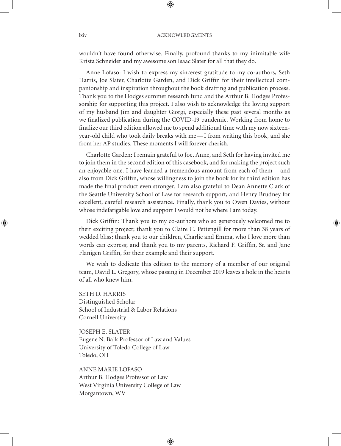wouldn't have found otherwise. Finally, profound thanks to my inimitable wife Krista Schneider and my awesome son Isaac Slater for all that they do.

Anne Lofaso: I wish to express my sincerest gratitude to my co-authors, Seth Harris, Joe Slater, Charlotte Garden, and Dick Griffin for their intellectual companionship and inspiration throughout the book drafting and publication process. Thank you to the Hodges summer research fund and the Arthur B. Hodges Professorship for supporting this project. I also wish to acknowledge the loving support of my husband Jim and daughter Giorgi, especially these past several months as we finalized publication during the COVID-19 pandemic. Working from home to finalize our third edition allowed me to spend additional time with my now sixteenyear-old child who took daily breaks with me— I from writing this book, and she from her AP studies. These moments I will forever cherish.

Charlotte Garden: I remain grateful to Joe, Anne, and Seth for having invited me to join them in the second edition of this casebook, and for making the project such an enjoyable one. I have learned a tremendous amount from each of them— and also from Dick Griffin, whose willingness to join the book for its third edition has made the final product even stronger. I am also grateful to Dean Annette Clark of the Seattle University School of Law for research support, and Henry Brudney for excellent, careful research assistance. Finally, thank you to Owen Davies, without whose indefatigable love and support I would not be where I am today.

Dick Griffin: Thank you to my co-authors who so generously welcomed me to their exciting project; thank you to Claire C. Pettengill for more than 38 years of wedded bliss; thank you to our children, Charlie and Emma, who I love more than words can express; and thank you to my parents, Richard F. Griffin, Sr. and Jane Flanigen Griffin, for their example and their support.

We wish to dedicate this edition to the memory of a member of our original team, David L. Gregory, whose passing in December 2019 leaves a hole in the hearts of all who knew him.

SETH D. HARRIS Distinguished Scholar School of Industrial & Labor Relations Cornell University

JOSEPH E. SLATER Eugene N. Balk Professor of Law and Values University of Toledo College of Law Toledo, OH

ANNE MARIE LOFASO Arthur B. Hodges Professor of Law West Virginia University College of Law Morgantown, WV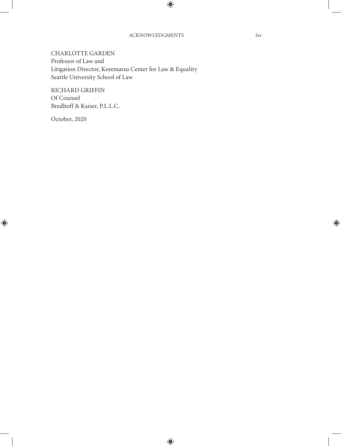CHARLOTTE GARDEN Professor of Law and Litigation Director, Korematsu Center for Law & Equality Seattle University School of Law

RICHARD GRIFFIN Of Counsel Bredhoff & Kaiser, P.L.L.C.

October, 2020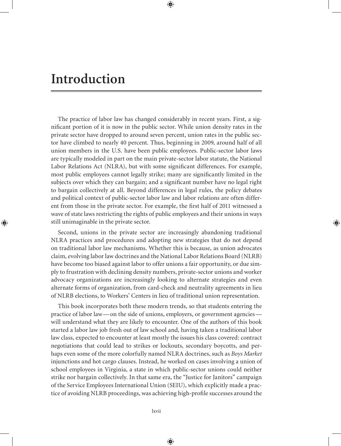## **Introduction**

The practice of labor law has changed considerably in recent years. First, a significant portion of it is now in the public sector. While union density rates in the private sector have dropped to around seven percent, union rates in the public sector have climbed to nearly 40 percent. Thus, beginning in 2009, around half of all union members in the U.S. have been public employees. Public-sector labor laws are typically modeled in part on the main private-sector labor statute, the National Labor Relations Act (NLRA), but with some significant differences. For example, most public employees cannot legally strike; many are significantly limited in the subjects over which they can bargain; and a significant number have no legal right to bargain collectively at all. Beyond differences in legal rules, the policy debates and political context of public-sector labor law and labor relations are often different from those in the private sector. For example, the first half of 2011 witnessed a wave of state laws restricting the rights of public employees and their unions in ways still unimaginable in the private sector.

Second, unions in the private sector are increasingly abandoning traditional NLRA practices and procedures and adopting new strategies that do not depend on traditional labor law mechanisms. Whether this is because, as union advocates claim, evolving labor law doctrines and the National Labor Relations Board (NLRB) have become too biased against labor to offer unions a fair opportunity, or due simply to frustration with declining density numbers, private-sector unions and worker advocacy organizations are increasingly looking to alternate strategies and even alternate forms of organization, from card-check and neutrality agreements in lieu of NLRB elections, to Workers' Centers in lieu of traditional union representation.

This book incorporates both these modern trends, so that students entering the practice of labor law— on the side of unions, employers, or government agencies will understand what they are likely to encounter. One of the authors of this book started a labor law job fresh out of law school and, having taken a traditional labor law class, expected to encounter at least mostly the issues his class covered: contract negotiations that could lead to strikes or lockouts, secondary boycotts, and perhaps even some of the more colorfully named NLRA doctrines, such as *Boys Market* injunctions and hot cargo clauses. Instead, he worked on cases involving a union of school employees in Virginia, a state in which public-sector unions could neither strike nor bargain collectively. In that same era, the "Justice for Janitors" campaign of the Service Employees International Union (SEIU), which explicitly made a practice of avoiding NLRB proceedings, was achieving high-profile successes around the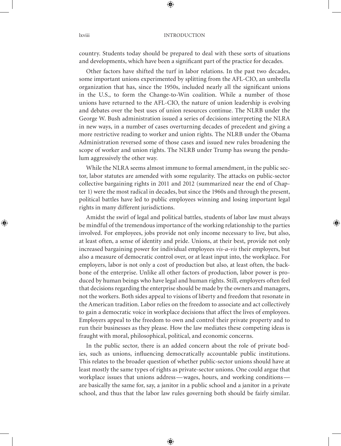country. Students today should be prepared to deal with these sorts of situations and developments, which have been a significant part of the practice for decades.

Other factors have shifted the turf in labor relations. In the past two decades, some important unions experimented by splitting from the AFL-CIO, an umbrella organization that has, since the 1950s, included nearly all the significant unions in the U.S., to form the Change-to-Win coalition. While a number of those unions have returned to the AFL-CIO, the nature of union leadership is evolving and debates over the best uses of union resources continue. The NLRB under the George W. Bush administration issued a series of decisions interpreting the NLRA in new ways, in a number of cases overturning decades of precedent and giving a more restrictive reading to worker and union rights. The NLRB under the Obama Administration reversed some of those cases and issued new rules broadening the scope of worker and union rights. The NLRB under Trump has swung the pendulum aggressively the other way.

While the NLRA seems almost immune to formal amendment, in the public sector, labor statutes are amended with some regularity. The attacks on public-sector collective bargaining rights in 2011 and 2012 (summarized near the end of Chapter 1) were the most radical in decades, but since the 1960s and through the present, political battles have led to public employees winning and losing important legal rights in many different jurisdictions.

Amidst the swirl of legal and political battles, students of labor law must always be mindful of the tremendous importance of the working relationship to the parties involved. For employees, jobs provide not only income necessary to live, but also, at least often, a sense of identity and pride. Unions, at their best, provide not only increased bargaining power for individual employees *vis-a-vis* their employers, but also a measure of democratic control over, or at least input into, the workplace. For employers, labor is not only a cost of production but also, at least often, the backbone of the enterprise. Unlike all other factors of production, labor power is produced by human beings who have legal and human rights. Still, employers often feel that decisions regarding the enterprise should be made by the owners and managers, not the workers. Both sides appeal to visions of liberty and freedom that resonate in the American tradition. Labor relies on the freedom to associate and act collectively to gain a democratic voice in workplace decisions that affect the lives of employees. Employers appeal to the freedom to own and control their private property and to run their businesses as they please. How the law mediates these competing ideas is fraught with moral, philosophical, political, and economic concerns.

In the public sector, there is an added concern about the role of private bodies, such as unions, influencing democratically accountable public institutions. This relates to the broader question of whether public-sector unions should have at least mostly the same types of rights as private-sector unions. One could argue that workplace issues that unions address— wages, hours, and working conditions are basically the same for, say, a janitor in a public school and a janitor in a private school, and thus that the labor law rules governing both should be fairly similar.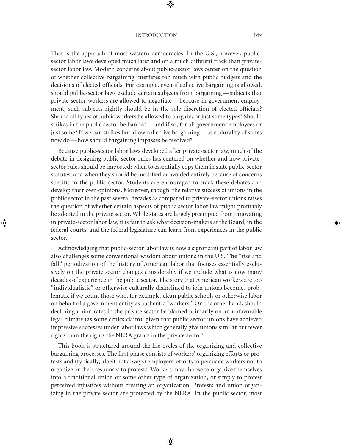#### Introduction lxix

That is the approach of most western democracies. In the U.S., however, publicsector labor laws developed much later and on a much different track than privatesector labor law. Modern concerns about public-sector laws center on the question of whether collective bargaining interferes too much with public budgets and the decisions of elected officials. For example, even if collective bargaining is allowed, should public-sector laws exclude certain subjects from bargaining— subjects that private-sector workers are allowed to negotiate— because in government employment, such subjects rightly should be in the sole discretion of elected officials? Should all types of public workers be allowed to bargain, or just some types? Should strikes in the public sector be banned— and if so, for all government employees or just some? If we ban strikes but allow collective bargaining— as a plurality of states now do— how should bargaining impasses be resolved?

Because public-sector labor laws developed after private-sector law, much of the debate in designing public-sector rules has centered on whether and how privatesector rules should be imported: when to essentially copy them in state public-sector statutes, and when they should be modified or avoided entirely because of concerns specific to the public sector. Students are encouraged to track these debates and develop their own opinions. Moreover, though, the relative success of unions in the public sector in the past several decades as compared to private-sector unions raises the question of whether certain aspects of public sector labor law might profitably be adopted in the private sector. While states are largely preempted from innovating in private-sector labor law, it is fair to ask what decision-makers at the Board, in the federal courts, and the federal legislature can learn from experiences in the public sector.

Acknowledging that public-sector labor law is now a significant part of labor law also challenges some conventional wisdom about unions in the U.S. The "rise and fall" periodization of the history of American labor that focuses essentially exclusively on the private sector changes considerably if we include what is now many decades of experience in the public sector. The story that American workers are too "individualistic" or otherwise culturally disinclined to join unions becomes problematic if we count those who, for example, clean public schools or otherwise labor on behalf of a government entity as authentic "workers." On the other hand, should declining union rates in the private sector be blamed primarily on an unfavorable legal climate (as some critics claim), given that public sector unions have achieved impressive successes under labor laws which generally give unions similar but fewer rights than the rights the NLRA grants in the private sector?

This book is structured around the life cycles of the organizing and collective bargaining processes. The first phase consists of workers' organizing efforts or protests and (typically, albeit not always) employers' efforts to persuade workers not to organize or their responses to protests. Workers may choose to organize themselves into a traditional union or some other type of organization, or simply to protest perceived injustices without creating an organization. Protests and union organizing in the private sector are protected by the NLRA. In the public sector, most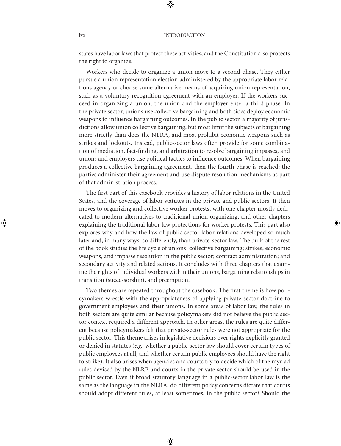states have labor laws that protect these activities, and the Constitution also protects the right to organize.

Workers who decide to organize a union move to a second phase. They either pursue a union representation election administered by the appropriate labor relations agency or choose some alternative means of acquiring union representation, such as a voluntary recognition agreement with an employer. If the workers succeed in organizing a union, the union and the employer enter a third phase. In the private sector, unions use collective bargaining and both sides deploy economic weapons to influence bargaining outcomes. In the public sector, a majority of jurisdictions allow union collective bargaining, but most limit the subjects of bargaining more strictly than does the NLRA, and most prohibit economic weapons such as strikes and lockouts. Instead, public-sector laws often provide for some combination of mediation, fact-finding, and arbitration to resolve bargaining impasses, and unions and employers use political tactics to influence outcomes. When bargaining produces a collective bargaining agreement, then the fourth phase is reached: the parties administer their agreement and use dispute resolution mechanisms as part of that administration process.

The first part of this casebook provides a history of labor relations in the United States, and the coverage of labor statutes in the private and public sectors. It then moves to organizing and collective worker protests, with one chapter mostly dedicated to modern alternatives to traditional union organizing, and other chapters explaining the traditional labor law protections for worker protests. This part also explores why and how the law of public-sector labor relations developed so much later and, in many ways, so differently, than private-sector law. The bulk of the rest of the book studies the life cycle of unions: collective bargaining; strikes, economic weapons, and impasse resolution in the public sector; contract administration; and secondary activity and related actions. It concludes with three chapters that examine the rights of individual workers within their unions, bargaining relationships in transition (successorship), and preemption.

Two themes are repeated throughout the casebook. The first theme is how policymakers wrestle with the appropriateness of applying private-sector doctrine to government employees and their unions. In some areas of labor law, the rules in both sectors are quite similar because policymakers did not believe the public sector context required a different approach. In other areas, the rules are quite different because policymakers felt that private-sector rules were not appropriate for the public sector. This theme arises in legislative decisions over rights explicitly granted or denied in statutes (*e.g.*, whether a public-sector law should cover certain types of public employees at all, and whether certain public employees should have the right to strike). It also arises when agencies and courts try to decide which of the myriad rules devised by the NLRB and courts in the private sector should be used in the public sector. Even if broad statutory language in a public-sector labor law is the same as the language in the NLRA, do different policy concerns dictate that courts should adopt different rules, at least sometimes, in the public sector? Should the